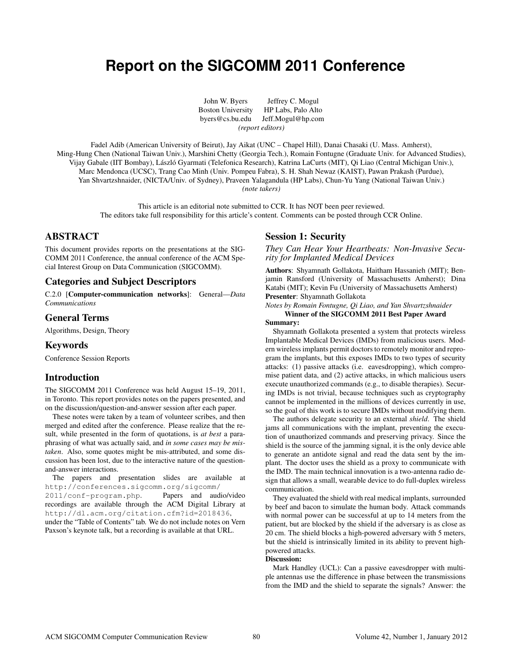# **Report on the SIGCOMM 2011 Conference**

John W. Byers Jeffrey C. Mogul Boston University HP Labs, Palo Alto byers@cs.bu.edu Jeff.Mogul@hp.com *(report editors)*

Fadel Adib (American University of Beirut), Jay Aikat (UNC – Chapel Hill), Danai Chasaki (U. Mass. Amherst), Ming-Hung Chen (National Taiwan Univ.), Marshini Chetty (Georgia Tech.), Romain Fontugne (Graduate Univ. for Advanced Studies), Vijay Gabale (IIT Bombay), László Gyarmati (Telefonica Research), Katrina LaCurts (MIT), Qi Liao (Central Michigan Univ.), Marc Mendonca (UCSC), Trang Cao Minh (Univ. Pompeu Fabra), S. H. Shah Newaz (KAIST), Pawan Prakash (Purdue), Yan Shvartzshnaider, (NICTA/Univ. of Sydney), Praveen Yalagandula (HP Labs), Chun-Yu Yang (National Taiwan Univ.) *(note takers)*

> This article is an editorial note submitted to CCR. It has NOT been peer reviewed. The editors take full responsibility for this article's content. Comments can be posted through CCR Online.

# ABSTRACT

This document provides reports on the presentations at the SIG-COMM 2011 Conference, the annual conference of the ACM Special Interest Group on Data Communication (SIGCOMM).

## Categories and Subject Descriptors

C.2.0 [Computer-communication networks]: General—*Data Communications*

### General Terms

Algorithms, Design, Theory

### Keywords

Conference Session Reports

# Introduction

The SIGCOMM 2011 Conference was held August 15–19, 2011, in Toronto. This report provides notes on the papers presented, and on the discussion/question-and-answer session after each paper.

These notes were taken by a team of volunteer scribes, and then merged and edited after the conference. Please realize that the result, while presented in the form of quotations, is *at best* a paraphrasing of what was actually said, and *in some cases may be mistaken*. Also, some quotes might be mis-attributed, and some discussion has been lost, due to the interactive nature of the questionand-answer interactions.

The papers and presentation slides are available at http://conferences.sigcomm.org/sigcomm/ 2011/conf-program.php. Papers and audio/video recordings are available through the ACM Digital Library at http://dl.acm.org/citation.cfm?id=2018436, under the "Table of Contents" tab. We do not include notes on Vern Paxson's keynote talk, but a recording is available at that URL.

### Session 1: Security

*They Can Hear Your Heartbeats: Non-Invasive Security for Implanted Medical Devices*

Authors: Shyamnath Gollakota, Haitham Hassanieh (MIT); Benjamin Ransford (University of Massachusetts Amherst); Dina Katabi (MIT); Kevin Fu (University of Massachusetts Amherst) Presenter: Shyamnath Gollakota

*Notes by Romain Fontugne, Qi Liao, and Yan Shvartzshnaider* Winner of the SIGCOMM 2011 Best Paper Award Summary:

Shyamnath Gollakota presented a system that protects wireless Implantable Medical Devices (IMDs) from malicious users. Modern wireless implants permit doctors to remotely monitor and reprogram the implants, but this exposes IMDs to two types of security attacks: (1) passive attacks (i.e. eavesdropping), which compromise patient data, and (2) active attacks, in which malicious users execute unauthorized commands (e.g., to disable therapies). Securing IMDs is not trivial, because techniques such as cryptography cannot be implemented in the millions of devices currently in use, so the goal of this work is to secure IMDs without modifying them.

The authors delegate security to an external *shield*. The shield jams all communications with the implant, preventing the execution of unauthorized commands and preserving privacy. Since the shield is the source of the jamming signal, it is the only device able to generate an antidote signal and read the data sent by the implant. The doctor uses the shield as a proxy to communicate with the IMD. The main technical innovation is a two-antenna radio design that allows a small, wearable device to do full-duplex wireless communication.

They evaluated the shield with real medical implants, surrounded by beef and bacon to simulate the human body. Attack commands with normal power can be successful at up to 14 meters from the patient, but are blocked by the shield if the adversary is as close as 20 cm. The shield blocks a high-powered adversary with 5 meters, but the shield is intrinsically limited in its ability to prevent highpowered attacks.

#### Discussion:

Mark Handley (UCL): Can a passive eavesdropper with multiple antennas use the difference in phase between the transmissions from the IMD and the shield to separate the signals? Answer: the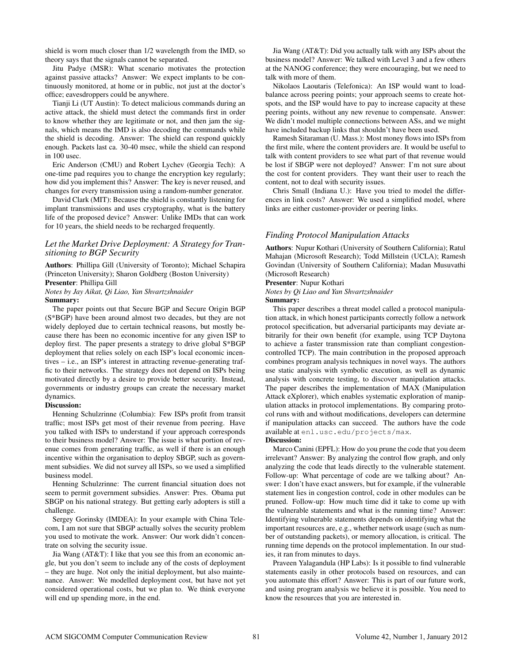shield is worn much closer than 1/2 wavelength from the IMD, so theory says that the signals cannot be separated.

Jitu Padye (MSR): What scenario motivates the protection against passive attacks? Answer: We expect implants to be continuously monitored, at home or in public, not just at the doctor's office; eavesdroppers could be anywhere.

Tianji Li (UT Austin): To detect malicious commands during an active attack, the shield must detect the commands first in order to know whether they are legitimate or not, and then jam the signals, which means the IMD is also decoding the commands while the shield is decoding. Answer: The shield can respond quickly enough. Packets last ca. 30-40 msec, while the shield can respond in 100 usec.

Eric Anderson (CMU) and Robert Lychev (Georgia Tech): A one-time pad requires you to change the encryption key regularly; how did you implement this? Answer: The key is never reused, and changes for every transmission using a random-number generator.

David Clark (MIT): Because the shield is constantly listening for implant transmissions and uses cryptography, what is the battery life of the proposed device? Answer: Unlike IMDs that can work for 10 years, the shield needs to be recharged frequently.

### *Let the Market Drive Deployment: A Strategy for Transitioning to BGP Security*

Authors: Phillipa Gill (University of Toronto); Michael Schapira (Princeton University); Sharon Goldberg (Boston University) Presenter: Phillipa Gill

#### *Notes by Jay Aikat, Qi Liao, Yan Shvartzshnaider* Summary:

The paper points out that Secure BGP and Secure Origin BGP (S\*BGP) have been around almost two decades, but they are not widely deployed due to certain technical reasons, but mostly because there has been no economic incentive for any given ISP to deploy first. The paper presents a strategy to drive global S\*BGP deployment that relies solely on each ISP's local economic incentives – i.e., an ISP's interest in attracting revenue-generating traffic to their networks. The strategy does not depend on ISPs being motivated directly by a desire to provide better security. Instead, governments or industry groups can create the necessary market dynamics.

#### Discussion:

Henning Schulzrinne (Columbia): Few ISPs profit from transit traffic; most ISPs get most of their revenue from peering. Have you talked with ISPs to understand if your approach corresponds to their business model? Answer: The issue is what portion of revenue comes from generating traffic, as well if there is an enough incentive within the organisation to deploy SBGP, such as government subsidies. We did not survey all ISPs, so we used a simplified business model.

Henning Schulzrinne: The current financial situation does not seem to permit government subsidies. Answer: Pres. Obama put SBGP on his national strategy. But getting early adopters is still a challenge.

Sergey Gorinsky (IMDEA): In your example with China Telecom, I am not sure that SBGP actually solves the security problem you used to motivate the work. Answer: Our work didn't concentrate on solving the security issue.

Jia Wang (AT&T): I like that you see this from an economic angle, but you don't seem to include any of the costs of deployment – they are huge. Not only the initial deployment, but also maintenance. Answer: We modelled deployment cost, but have not yet considered operational costs, but we plan to. We think everyone will end up spending more, in the end.

Jia Wang (AT&T): Did you actually talk with any ISPs about the business model? Answer: We talked with Level 3 and a few others at the NANOG conference; they were encouraging, but we need to talk with more of them.

Nikolaos Laoutaris (Telefonica): An ISP would want to loadbalance across peering points; your approach seems to create hotspots, and the ISP would have to pay to increase capacity at these peering points, without any new revenue to compensate. Answer: We didn't model multiple connections between ASs, and we might have included backup links that shouldn't have been used.

Ramesh Sitaraman (U. Mass.): Most money flows into ISPs from the first mile, where the content providers are. It would be useful to talk with content providers to see what part of that revenue would be lost if SBGP were not deployed? Answer: I'm not sure about the cost for content providers. They want their user to reach the content, not to deal with security issues.

Chris Small (Indiana U.): Have you tried to model the differences in link costs? Answer: We used a simplified model, where links are either customer-provider or peering links.

### *Finding Protocol Manipulation Attacks*

Authors: Nupur Kothari (University of Southern California); Ratul Mahajan (Microsoft Research); Todd Millstein (UCLA); Ramesh Govindan (University of Southern California); Madan Musuvathi (Microsoft Research)

#### Presenter: Nupur Kothari

*Notes by Qi Liao and Yan Shvartzshnaider*

#### Summary:

This paper describes a threat model called a protocol manipulation attack, in which honest participants correctly follow a network protocol specification, but adversarial participants may deviate arbitrarily for their own benefit (for example, using TCP Daytona to achieve a faster transmission rate than compliant congestioncontrolled TCP). The main contribution in the proposed approach combines program analysis techniques in novel ways. The authors use static analysis with symbolic execution, as well as dynamic analysis with concrete testing, to discover manipulation attacks. The paper describes the implementation of MAX (Manipulation Attack eXplorer), which enables systematic exploration of manipulation attacks in protocol implementations. By comparing protocol runs with and without modifications, developers can determine if manipulation attacks can succeed. The authors have the code available at enl.usc.edu/projects/max.

#### Discussion:

Marco Canini (EPFL): How do you prune the code that you deem irrelevant? Answer: By analyzing the control flow graph, and only analyzing the code that leads directly to the vulnerable statement. Follow-up: What percentage of code are we talking about? Answer: I don't have exact answers, but for example, if the vulnerable statement lies in congestion control, code in other modules can be pruned. Follow-up: How much time did it take to come up with the vulnerable statements and what is the running time? Answer: Identifying vulnerable statements depends on identifying what the important resources are, e.g., whether network usage (such as number of outstanding packets), or memory allocation, is critical. The running time depends on the protocol implementation. In our studies, it ran from minutes to days.

Praveen Yalagandula (HP Labs): Is it possible to find vulnerable statements easily in other protocols based on resources, and can you automate this effort? Answer: This is part of our future work, and using program analysis we believe it is possible. You need to know the resources that you are interested in.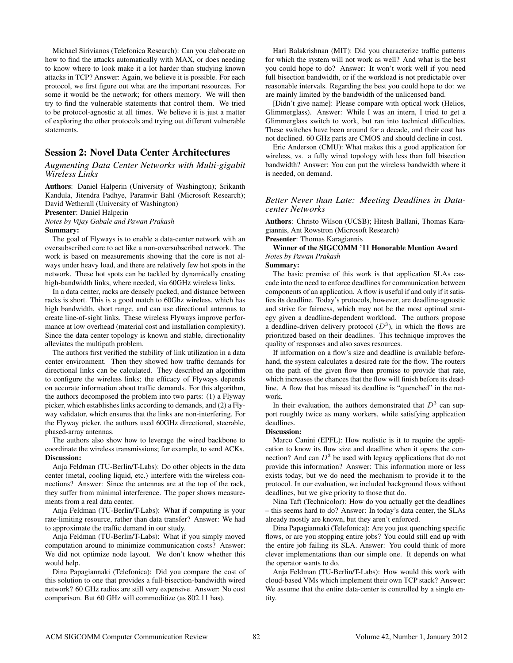Michael Sirivianos (Telefonica Research): Can you elaborate on how to find the attacks automatically with MAX, or does needing to know where to look make it a lot harder than studying known attacks in TCP? Answer: Again, we believe it is possible. For each protocol, we first figure out what are the important resources. For some it would be the network; for others memory. We will then try to find the vulnerable statements that control them. We tried to be protocol-agnostic at all times. We believe it is just a matter of exploring the other protocols and trying out different vulnerable statements.

# Session 2: Novel Data Center Architectures

### *Augmenting Data Center Networks with Multi-gigabit Wireless Links*

Authors: Daniel Halperin (University of Washington); Srikanth Kandula, Jitendra Padhye, Paramvir Bahl (Microsoft Research); David Wetherall (University of Washington)

Presenter: Daniel Halperin

*Notes by Vijay Gabale and Pawan Prakash* Summary:

The goal of Flyways is to enable a data-center network with an oversubscribed core to act like a non-oversubscribed network. The work is based on measurements showing that the core is not always under heavy load, and there are relatively few hot spots in the network. These hot spots can be tackled by dynamically creating high-bandwidth links, where needed, via 60GHz wireless links.

In a data center, racks are densely packed, and distance between racks is short. This is a good match to 60Ghz wireless, which has high bandwidth, short range, and can use directional antennas to create line-of-sight links. These wireless Flyways improve performance at low overhead (material cost and installation complexity). Since the data center topology is known and stable, directionality alleviates the multipath problem.

The authors first verified the stability of link utilization in a data center environment. Then they showed how traffic demands for directional links can be calculated. They described an algorithm to configure the wireless links; the efficacy of Flyways depends on accurate information about traffic demands. For this algorithm, the authors decomposed the problem into two parts: (1) a Flyway picker, which establishes links according to demands, and (2) a Flyway validator, which ensures that the links are non-interfering. For the Flyway picker, the authors used 60GHz directional, steerable, phased-array antennas.

The authors also show how to leverage the wired backbone to coordinate the wireless transmissions; for example, to send ACKs. Discussion:

Anja Feldman (TU-Berlin/T-Labs): Do other objects in the data center (metal, cooling liquid, etc.) interfere with the wireless connections? Answer: Since the antennas are at the top of the rack, they suffer from minimal interference. The paper shows measurements from a real data center.

Anja Feldman (TU-Berlin/T-Labs): What if computing is your rate-limiting resource, rather than data transfer? Answer: We had to approximate the traffic demand in our study.

Anja Feldman (TU-Berlin/T-Labs): What if you simply moved computation around to minimize communication costs? Answer: We did not optimize node layout. We don't know whether this would help.

Dina Papagiannaki (Telefonica): Did you compare the cost of this solution to one that provides a full-bisection-bandwidth wired network? 60 GHz radios are still very expensive. Answer: No cost comparison. But 60 GHz will commoditize (as 802.11 has).

Hari Balakrishnan (MIT): Did you characterize traffic patterns for which the system will not work as well? And what is the best you could hope to do? Answer: It won't work well if you need full bisection bandwidth, or if the workload is not predictable over reasonable intervals. Regarding the best you could hope to do: we are mainly limited by the bandwidth of the unlicensed band.

[Didn't give name]: Please compare with optical work (Helios, Glimmerglass). Answer: While I was an intern, I tried to get a Glimmerglass switch to work, but ran into technical difficulties. These switches have been around for a decade, and their cost has not declined. 60 GHz parts are CMOS and should decline in cost.

Eric Anderson (CMU): What makes this a good application for wireless, vs. a fully wired topology with less than full bisection bandwidth? Answer: You can put the wireless bandwidth where it is needed, on demand.

### *Better Never than Late: Meeting Deadlines in Datacenter Networks*

Authors: Christo Wilson (UCSB); Hitesh Ballani, Thomas Karagiannis, Ant Rowstron (Microsoft Research)

Presenter: Thomas Karagiannis

### Winner of the SIGCOMM '11 Honorable Mention Award *Notes by Pawan Prakash*

Summary:

The basic premise of this work is that application SLAs cascade into the need to enforce deadlines for communication between components of an application. A flow is useful if and only if it satisfies its deadline. Today's protocols, however, are deadline-agnostic and strive for fairness, which may not be the most optimal strategy given a deadline-dependent workload. The authors propose a deadline-driven delivery protocol  $(D^3)$ , in which the flows are prioritized based on their deadlines. This technique improves the quality of responses and also saves resources.

If information on a flow's size and deadline is available beforehand, the system calculates a desired rate for the flow. The routers on the path of the given flow then promise to provide that rate, which increases the chances that the flow will finish before its deadline. A flow that has missed its deadline is "quenched" in the network.

In their evaluation, the authors demonstrated that  $D^3$  can support roughly twice as many workers, while satisfying application deadlines.

#### Discussion:

Marco Canini (EPFL): How realistic is it to require the application to know its flow size and deadline when it opens the connection? And can  $D^3$  be used with legacy applications that do not provide this information? Answer: This information more or less exists today, but we do need the mechanism to provide it to the protocol. In our evaluation, we included background flows without deadlines, but we give priority to those that do.

Nina Taft (Technicolor): How do you actually get the deadlines – this seems hard to do? Answer: In today's data center, the SLAs already mostly are known, but they aren't enforced.

Dina Papagiannaki (Telefonica): Are you just quenching specific flows, or are you stopping entire jobs? You could still end up with the entire job failing its SLA. Answer: You could think of more clever implementations than our simple one. It depends on what the operator wants to do.

Anja Feldman (TU-Berlin/T-Labs): How would this work with cloud-based VMs which implement their own TCP stack? Answer: We assume that the entire data-center is controlled by a single entity.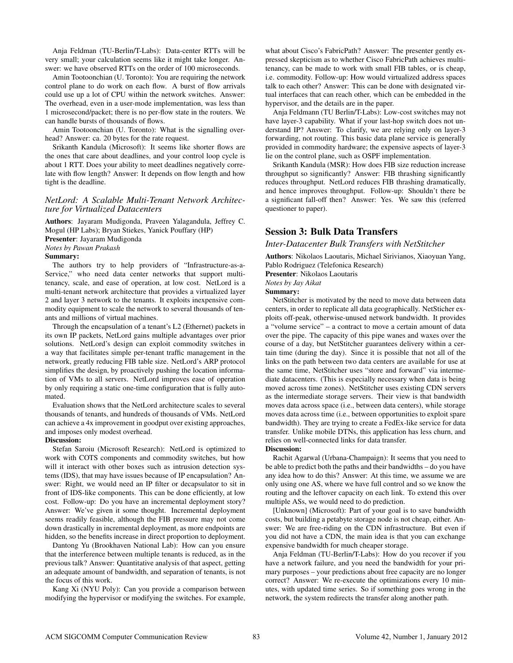Anja Feldman (TU-Berlin/T-Labs): Data-center RTTs will be very small; your calculation seems like it might take longer. Answer: we have observed RTTs on the order of 100 microseconds.

Amin Tootoonchian (U. Toronto): You are requiring the network control plane to do work on each flow. A burst of flow arrivals could use up a lot of CPU within the network switches. Answer: The overhead, even in a user-mode implementation, was less than 1 microsecond/packet; there is no per-flow state in the routers. We can handle bursts of thousands of flows.

Amin Tootoonchian (U. Toronto): What is the signalling overhead? Answer: ca. 20 bytes for the rate request.

Srikanth Kandula (Microsoft): It seems like shorter flows are the ones that care about deadlines, and your control loop cycle is about 1 RTT. Does your ability to meet deadlines negatively correlate with flow length? Answer: It depends on flow length and how tight is the deadline.

### *NetLord: A Scalable Multi-Tenant Network Architecture for Virtualized Datacenters*

Authors: Jayaram Mudigonda, Praveen Yalagandula, Jeffrey C. Mogul (HP Labs); Bryan Stiekes, Yanick Pouffary (HP) Presenter: Jayaram Mudigonda

*Notes by Pawan Prakash*

#### Summary:

The authors try to help providers of "Infrastructure-as-a-Service," who need data center networks that support multitenancy, scale, and ease of operation, at low cost. NetLord is a multi-tenant network architecture that provides a virtualized layer 2 and layer 3 network to the tenants. It exploits inexpensive commodity equipment to scale the network to several thousands of tenants and millions of virtual machines.

Through the encapsulation of a tenant's L2 (Ethernet) packets in its own IP packets, NetLord gains multiple advantages over prior solutions. NetLord's design can exploit commodity switches in a way that facilitates simple per-tenant traffic management in the network, greatly reducing FIB table size. NetLord's ARP protocol simplifies the design, by proactively pushing the location information of VMs to all servers. NetLord improves ease of operation by only requiring a static one-time configuration that is fully automated.

Evaluation shows that the NetLord architecture scales to several thousands of tenants, and hundreds of thousands of VMs. NetLord can achieve a 4x improvement in goodput over existing approaches, and imposes only modest overhead.

#### Discussion:

Stefan Saroiu (Microsoft Research): NetLord is optimized to work with COTS components and commodity switches, but how will it interact with other boxes such as intrusion detection systems (IDS), that may have issues because of IP encapsulation? Answer: Right, we would need an IP filter or decapsulator to sit in front of IDS-like components. This can be done efficiently, at low cost. Follow-up: Do you have an incremental deployment story? Answer: We've given it some thought. Incremental deployment seems readily feasible, although the FIB pressure may not come down drastically in incremental deployment, as more endpoints are hidden, so the benefits increase in direct proportion to deployment.

Dantong Yu (Brookhaven National Lab): How can you ensure that the interference between multiple tenants is reduced, as in the previous talk? Answer: Quantitative analysis of that aspect, getting an adequate amount of bandwidth, and separation of tenants, is not the focus of this work.

Kang Xi (NYU Poly): Can you provide a comparison between modifying the hypervisor or modifying the switches. For example, what about Cisco's FabricPath? Answer: The presenter gently expressed skepticism as to whether Cisco FabricPath achieves multitenancy, can be made to work with small FIB tables, or is cheap, i.e. commodity. Follow-up: How would virtualized address spaces talk to each other? Answer: This can be done with designated virtual interfaces that can reach other, which can be embedded in the hypervisor, and the details are in the paper.

Anja Feldmann (TU Berlin/T-Labs): Low-cost switches may not have layer-3 capability. What if your last-hop switch does not understand IP? Answer: To clarify, we are relying only on layer-3 forwarding, not routing. This basic data plane service is generally provided in commodity hardware; the expensive aspects of layer-3 lie on the control plane, such as OSPF implementation.

Srikanth Kandula (MSR): How does FIB size reduction increase throughput so significantly? Answer: FIB thrashing significantly reduces throughput. NetLord reduces FIB thrashing dramatically, and hence improves throughput. Follow-up: Shouldn't there be a significant fall-off then? Answer: Yes. We saw this (referred questioner to paper).

# Session 3: Bulk Data Transfers

*Inter-Datacenter Bulk Transfers with NetStitcher*

Authors: Nikolaos Laoutaris, Michael Sirivianos, Xiaoyuan Yang, Pablo Rodriguez (Telefonica Research)

Presenter: Nikolaos Laoutaris

*Notes by Jay Aikat*

#### Summary:

NetStitcher is motivated by the need to move data between data centers, in order to replicate all data geographically. NetSticher exploits off-peak, otherwise-unused network bandwidth. It provides a "volume service" – a contract to move a certain amount of data over the pipe. The capacity of this pipe wanes and waxes over the course of a day, but NetStitcher guarantees delivery within a certain time (during the day). Since it is possible that not all of the links on the path between two data centers are available for use at the same time, NetStitcher uses "store and forward" via intermediate datacenters. (This is especially necessary when data is being moved across time zones). NetStitcher uses existing CDN servers as the intermediate storage servers. Their view is that bandwidth moves data across space (i.e., between data centers), while storage moves data across time (i.e., between opportunities to exploit spare bandwidth). They are trying to create a FedEx-like service for data transfer. Unlike mobile DTNs, this application has less churn, and relies on well-connected links for data transfer.

#### Discussion:

Rachit Agarwal (Urbana-Champaign): It seems that you need to be able to predict both the paths and their bandwidths – do you have any idea how to do this? Answer: At this time, we assume we are only using one AS, where we have full control and so we know the routing and the leftover capacity on each link. To extend this over multiple ASs, we would need to do prediction.

[Unknown] (Microsoft): Part of your goal is to save bandwidth costs, but building a petabyte storage node is not cheap, either. Answer: We are free-riding on the CDN infrastructure. But even if you did not have a CDN, the main idea is that you can exchange expensive bandwidth for much cheaper storage.

Anja Feldman (TU-Berlin/T-Labs): How do you recover if you have a network failure, and you need the bandwidth for your primary purposes – your predictions about free capacity are no longer correct? Answer: We re-execute the optimizations every 10 minutes, with updated time series. So if something goes wrong in the network, the system redirects the transfer along another path.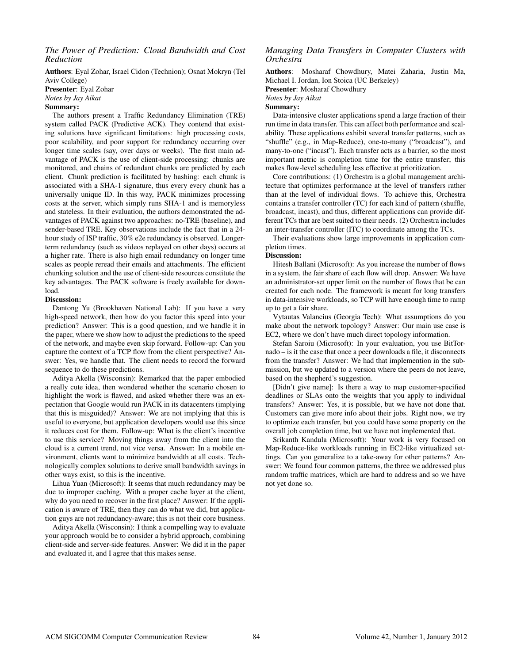### *The Power of Prediction: Cloud Bandwidth and Cost Reduction*

Authors: Eyal Zohar, Israel Cidon (Technion); Osnat Mokryn (Tel Aviv College) Presenter: Eyal Zohar

*Notes by Jay Aikat*

#### Summary:

The authors present a Traffic Redundancy Elimination (TRE) system called PACK (Predictive ACK). They contend that existing solutions have significant limitations: high processing costs, poor scalability, and poor support for redundancy occurring over longer time scales (say, over days or weeks). The first main advantage of PACK is the use of client-side processing: chunks are monitored, and chains of redundant chunks are predicted by each client. Chunk prediction is facilitated by hashing: each chunk is associated with a SHA-1 signature, thus every every chunk has a universally unique ID. In this way, PACK minimizes processing costs at the server, which simply runs SHA-1 and is memoryless and stateless. In their evaluation, the authors demonstrated the advantages of PACK against two approaches: no-TRE (baseline), and sender-based TRE. Key observations include the fact that in a 24 hour study of ISP traffic, 30% e2e redundancy is observed. Longerterm redundancy (such as videos replayed on other days) occurs at a higher rate. There is also high email redundancy on longer time scales as people reread their emails and attachments. The efficient chunking solution and the use of client-side resources constitute the key advantages. The PACK software is freely available for download.

#### Discussion:

Dantong Yu (Brookhaven National Lab): If you have a very high-speed network, then how do you factor this speed into your prediction? Answer: This is a good question, and we handle it in the paper, where we show how to adjust the predictions to the speed of the network, and maybe even skip forward. Follow-up: Can you capture the context of a TCP flow from the client perspective? Answer: Yes, we handle that. The client needs to record the forward sequence to do these predictions.

Aditya Akella (Wisconsin): Remarked that the paper embodied a really cute idea, then wondered whether the scenario chosen to highlight the work is flawed, and asked whether there was an expectation that Google would run PACK in its datacenters (implying that this is misguided)? Answer: We are not implying that this is useful to everyone, but application developers would use this since it reduces cost for them. Follow-up: What is the client's incentive to use this service? Moving things away from the client into the cloud is a current trend, not vice versa. Answer: In a mobile environment, clients want to minimize bandwidth at all costs. Technologically complex solutions to derive small bandwidth savings in other ways exist, so this is the incentive.

Lihua Yuan (Microsoft): It seems that much redundancy may be due to improper caching. With a proper cache layer at the client, why do you need to recover in the first place? Answer: If the application is aware of TRE, then they can do what we did, but application guys are not redundancy-aware; this is not their core business.

Aditya Akella (Wisconsin): I think a compelling way to evaluate your approach would be to consider a hybrid approach, combining client-side and server-side features. Answer: We did it in the paper and evaluated it, and I agree that this makes sense.

### *Managing Data Transfers in Computer Clusters with Orchestra*

Authors: Mosharaf Chowdhury, Matei Zaharia, Justin Ma, Michael I. Jordan, Ion Stoica (UC Berkeley)

Presenter: Mosharaf Chowdhury

*Notes by Jay Aikat*

#### Summary:

Data-intensive cluster applications spend a large fraction of their run time in data transfer. This can affect both performance and scalability. These applications exhibit several transfer patterns, such as "shuffle" (e.g., in Map-Reduce), one-to-many ("broadcast"), and many-to-one ("incast"). Each transfer acts as a barrier, so the most important metric is completion time for the entire transfer; this makes flow-level scheduling less effective at prioritization.

Core contributions: (1) Orchestra is a global management architecture that optimizes performance at the level of transfers rather than at the level of individual flows. To achieve this, Orchestra contains a transfer controller (TC) for each kind of pattern (shuffle, broadcast, incast), and thus, different applications can provide different TCs that are best suited to their needs. (2) Orchestra includes an inter-transfer controller (ITC) to coordinate among the TCs.

Their evaluations show large improvements in application completion times.

#### Discussion:

Hitesh Ballani (Microsoft): As you increase the number of flows in a system, the fair share of each flow will drop. Answer: We have an administrator-set upper limit on the number of flows that be can created for each node. The framework is meant for long transfers in data-intensive workloads, so TCP will have enough time to ramp up to get a fair share.

Vytautas Valancius (Georgia Tech): What assumptions do you make about the network topology? Answer: Our main use case is EC2, where we don't have much direct topology information.

Stefan Saroiu (Microsoft): In your evaluation, you use BitTornado – is it the case that once a peer downloads a file, it disconnects from the transfer? Answer: We had that implemention in the submission, but we updated to a version where the peers do not leave, based on the shepherd's suggestion.

[Didn't give name]: Is there a way to map customer-specified deadlines or SLAs onto the weights that you apply to individual transfers? Answer: Yes, it is possible, but we have not done that. Customers can give more info about their jobs. Right now, we try to optimize each transfer, but you could have some property on the overall job completion time, but we have not implemented that.

Srikanth Kandula (Microsoft): Your work is very focused on Map-Reduce-like workloads running in EC2-like virtualized settings. Can you generalize to a take-away for other patterns? Answer: We found four common patterns, the three we addressed plus random traffic matrices, which are hard to address and so we have not yet done so.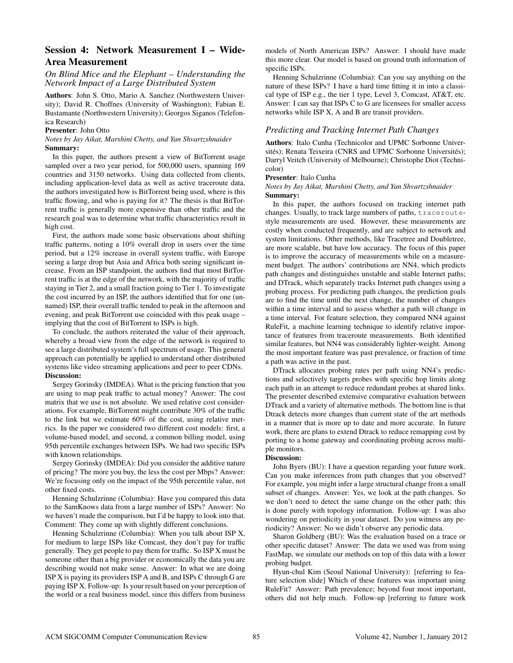# Session 4: Network Measurement I – Wide-Area Measurement

### *On Blind Mice and the Elephant – Understanding the Network Impact of a Large Distributed System*

Authors: John S. Otto, Mario A. Sanchez (Northwestern University); David R. Choffnes (University of Washington); Fabian E. Bustamante (Northwestern University); Georgos Siganos (Telefonica Research)

#### Presenter: John Otto

*Notes by Jay Aikat, Marshini Chetty, and Yan Shvartzshnaider* Summary:

In this paper, the authors present a view of BitTorrent usage sampled over a two year period, for 500,000 users, spanning 169 countries and 3150 networks. Using data collected from clients, including application-level data as well as active traceroute data, the authors investigated how is BitTorrent being used, where is this traffic flowing, and who is paying for it? The thesis is that BitTorrent traffic is generally more expensive than other traffic and the research goal was to determine what traffic characteristics result in high cost.

First, the authors made some basic observations about shifting traffic patterns, noting a 10% overall drop in users over the time period, but a 12% increase in overall system traffic, with Europe seeing a large drop but Asia and Africa both seeing significant increase. From an ISP standpoint, the authors find that most BitTorrent traffic is at the edge of the network, with the majority of traffic staying in Tier 2, and a small fraction going to Tier 1. To investigate the cost incurred by an ISP, the authors identified that for one (unnamed) ISP, their overall traffic tended to peak in the afternoon and evening, and peak BitTorrent use coincided with this peak usage – implying that the cost of BitTorrent to ISPs is high.

To conclude, the authors reiterated the value of their approach, whereby a broad view from the edge of the network is required to see a large distributed system's full spectrum of usage. This general approach can potentially be applied to understand other distributed systems like video streaming applications and peer to peer CDNs. Discussion:

Sergey Gorinsky (IMDEA). What is the pricing function that you are using to map peak traffic to actual money? Answer: The cost matrix that we use is not absolute. We used relative cost considerations. For example, BitTorrent might contribute 30% of the traffic to the link but we estimate 60% of the cost, using relative metrics. In the paper we considered two different cost models: first, a volume-based model, and second, a common billing model, using 95th percentile exchanges between ISPs. We had two specific ISPs with known relationships.

Sergey Gorinsky (IMDEA): Did you consider the additive nature of pricing? The more you buy, the less the cost per Mbps? Answer: We're focusing only on the impact of the 95th percentile value, not other fixed costs.

Henning Schulzrinne (Columbia): Have you compared this data to the SamKnows data from a large number of ISPs? Answer: No we haven't made the comparison, but I'd be happy to look into that. Comment: They come up with slightly different conclusions.

Henning Schulzrinne (Columbia): When you talk about ISP X, for medium to large ISPs like Comcast, they don't pay for traffic generally. They get people to pay them for traffic. So ISP X must be someone other than a big provider or economically the data you are describing would not make sense. Answer: In what we are doing ISP X is paying its providers ISP A and B, and ISPs C through G are paying ISP X. Follow-up: Is your result based on your perception of the world or a real business model, since this differs from business

models of North American ISPs? Answer: I should have made this more clear. Our model is based on ground truth information of specific ISPs.

Henning Schulzrinne (Columbia): Can you say anything on the nature of these ISPs? I have a hard time fitting it in into a classical type of ISP e.g., the tier 1 type, Level 3, Comcast, AT&T, etc. Answer: I can say that ISPs C to G are licensees for smaller access networks while ISP X, A and B are transit providers.

### *Predicting and Tracking Internet Path Changes*

Authors: Italo Cunha (Technicolor and UPMC Sorbonne Universités); Renata Teixeira (CNRS and UPMC Sorbonne Universités); Darryl Veitch (University of Melbourne); Christophe Diot (Technicolor)

#### Presenter: Italo Cunha

*Notes by Jay Aikat, Marshini Chetty, and Yan Shvartzshnaider* Summary:

In this paper, the authors focused on tracking internet path changes. Usually, to track large numbers of paths, traceroutestyle measurements are used. However, these measurements are costly when conducted frequently, and are subject to network and system limitations. Other methods, like Tracetree and Doubletree, are more scalable, but have low accuracy. The focus of this paper is to improve the accuracy of measurements while on a measurement budget. The authors' contributions are NN4, which predicts path changes and distinguishes unstable and stable Internet paths; and DTrack, which separately tracks Internet path changes using a probing process. For predicting path changes, the prediction goals are to find the time until the next change, the number of changes within a time interval and to assess whether a path will change in a time interval. For feature selection, they compared NN4 against RuleFit, a machine learning technique to identify relative importance of features from traceroute measurements. Both identified similar features, but NN4 was considerably lighter-weight. Among the most important feature was past prevalence, or fraction of time a path was active in the past.

DTrack allocates probing rates per path using NN4's predictions and selectively targets probes with specific hop limits along each path in an attempt to reduce redundant probes at shared links. The presenter described extensive comparative evaluation between DTrack and a variety of alternative methods. The bottom line is that Dtrack detects more changes than current state of the art methods in a manner that is more up to date and more accurate. In future work, there are plans to extend Dtrack to reduce remapping cost by porting to a home gateway and coordinating probing across multiple monitors.

#### Discussion:

John Byers (BU): I have a question regarding your future work. Can you make inferences from path changes that you observed? For example, you might infer a large structural change from a small subset of changes. Answer: Yes, we look at the path changes. So we don't need to detect the same change on the other path; this is done purely with topology information. Follow-up: I was also wondering on periodicity in your dataset. Do you witness any periodicity? Answer: No we didn't observe any periodic data.

Sharon Goldberg (BU): Was the evaluation based on a trace or other specific dataset? Answer: The data we used was from using FastMap, we simulate our methods on top of this data with a lower probing budget.

Hyun-chul Kim (Seoul National University): [referring to feature selection slide] Which of these features was important using RuleFit? Answer: Path prevalence; beyond four most important, others did not help much. Follow-up [referring to future work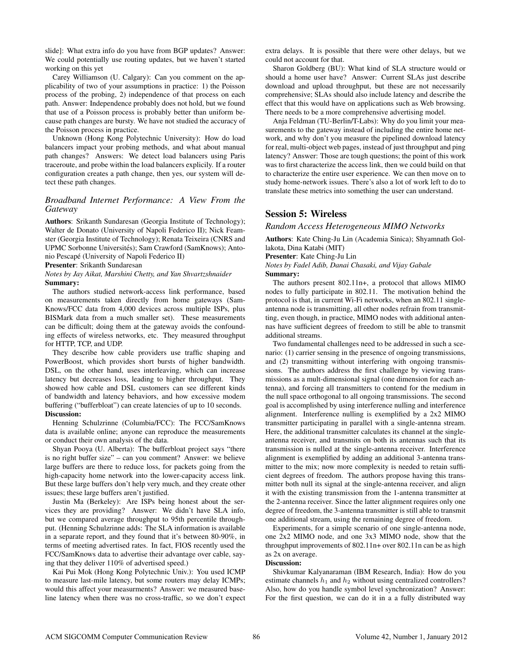slide]: What extra info do you have from BGP updates? Answer: We could potentially use routing updates, but we haven't started working on this yet

Carey Williamson (U. Calgary): Can you comment on the applicability of two of your assumptions in practice: 1) the Poisson process of the probing, 2) independence of that process on each path. Answer: Independence probably does not hold, but we found that use of a Poisson process is probably better than uniform because path changes are bursty. We have not studied the accuracy of the Poisson process in practice.

Unknown (Hong Kong Polytechnic University): How do load balancers impact your probing methods, and what about manual path changes? Answers: We detect load balancers using Paris traceroute, and probe within the load balancers explicily. If a router configuration creates a path change, then yes, our system will detect these path changes.

### *Broadband Internet Performance: A View From the Gateway*

Authors: Srikanth Sundaresan (Georgia Institute of Technology); Walter de Donato (University of Napoli Federico II); Nick Feamster (Georgia Institute of Technology); Renata Teixeira (CNRS and UPMC Sorbonne Universités); Sam Crawford (SamKnows); Antonio Pescape (University of Napoli Federico II) ´

Presenter: Srikanth Sundaresan

*Notes by Jay Aikat, Marshini Chetty, and Yan Shvartzshnaider* Summary:

The authors studied network-access link performance, based on measurements taken directly from home gateways (Sam-Knows/FCC data from 4,000 devices across multiple ISPs, plus BISMark data from a much smaller set). These measurements can be difficult; doing them at the gateway avoids the confounding effects of wireless networks, etc. They measured throughput for HTTP, TCP, and UDP.

They describe how cable providers use traffic shaping and PowerBoost, which provides short bursts of higher bandwidth. DSL, on the other hand, uses interleaving, which can increase latency but decreases loss, leading to higher throughput. They showed how cable and DSL customers can see different kinds of bandwidth and latency behaviors, and how excessive modem buffering ("bufferbloat") can create latencies of up to 10 seconds. Discussion:

Henning Schulzrinne (Columbia/FCC): The FCC/SamKnows data is available online; anyone can reproduce the measurements or conduct their own analysis of the data.

Shyan Pooya (U. Alberta): The bufferbloat project says "there is no right buffer size" – can you comment? Answer: we believe large buffers are there to reduce loss, for packets going from the high-capacity home network into the lower-capacity access link. But these large buffers don't help very much, and they create other issues; these large buffers aren't justified.

Justin Ma (Berkeley): Are ISPs being honest about the services they are providing? Answer: We didn't have SLA info, but we compared average throughput to 95th percentile throughput. (Henning Schulzrinne adds: The SLA information is available in a separate report, and they found that it's between 80-90%, in terms of meeting advertised rates. In fact, FIOS recently used the FCC/SamKnows data to advertise their advantage over cable, saying that they deliver 110% of advertised speed.)

Kai Pui Mok (Hong Kong Polytechnic Univ.): You used ICMP to measure last-mile latency, but some routers may delay ICMPs; would this affect your measurments? Answer: we measured baseline latency when there was no cross-traffic, so we don't expect extra delays. It is possible that there were other delays, but we could not account for that.

Sharon Goldberg (BU): What kind of SLA structure would or should a home user have? Answer: Current SLAs just describe download and upload throughput, but these are not necessarily comprehensive; SLAs should also include latency and describe the effect that this would have on applications such as Web browsing. There needs to be a more comprehensive advertising model.

Anja Feldman (TU-Berlin/T-Labs): Why do you limit your measurements to the gateway instead of including the entire home network, and why don't you measure the pipelined download latency for real, multi-object web pages, instead of just throughput and ping latency? Answer: Those are tough questions; the point of this work was to first characterize the access link, then we could build on that to characterize the entire user experience. We can then move on to study home-network issues. There's also a lot of work left to do to translate these metrics into something the user can understand.

### Session 5: Wireless

*Random Access Heterogeneous MIMO Networks*

Authors: Kate Ching-Ju Lin (Academia Sinica); Shyamnath Gollakota, Dina Katabi (MIT)

Presenter: Kate Ching-Ju Lin

*Notes by Fadel Adib, Danai Chasaki, and Vijay Gabale* Summary:

The authors present 802.11n+, a protocol that allows MIMO nodes to fully participate in 802.11. The motivation behind the protocol is that, in current Wi-Fi networks, when an 802.11 singleantenna node is transmitting, all other nodes refrain from transmitting, even though, in practice, MIMO nodes with additional antennas have sufficient degrees of freedom to still be able to transmit additional streams.

Two fundamental challenges need to be addressed in such a scenario: (1) carrier sensing in the presence of ongoing transmissions, and (2) transmitting without interfering with ongoing transmissions. The authors address the first challenge by viewing transmissions as a mult-dimensional signal (one dimension for each antenna), and forcing all transmitters to contend for the medium in the null space orthogonal to all ongoing transmissions. The second goal is accomplished by using interference nulling and interference alignment. Interference nulling is exemplified by a 2x2 MIMO transmitter participating in parallel with a single-antenna stream. Here, the additional transmitter calculates its channel at the singleantenna receiver, and transmits on both its antennas such that its transmission is nulled at the single-antenna receiver. Interference alignment is exemplified by adding an additional 3-antenna transmitter to the mix; now more complexity is needed to retain sufficient degrees of freedom. The authors propose having this transmitter both null its signal at the single-antenna receiver, and align it with the existing transmission from the 1-antenna transmitter at the 2-antenna receiver. Since the latter alignment requires only one degree of freedom, the 3-antenna transmitter is still able to transmit one additional stream, using the remaining degree of freedom.

Experiments, for a simple scenario of one single-antenna node, one 2x2 MIMO node, and one 3x3 MIMO node, show that the throughput improvements of 802.11n+ over 802.11n can be as high as 2x on average.

### Discussion:

Shivkumar Kalyanaraman (IBM Research, India): How do you estimate channels  $h_1$  and  $h_2$  without using centralized controllers? Also, how do you handle symbol level synchronization? Answer: For the first question, we can do it in a a fully distributed way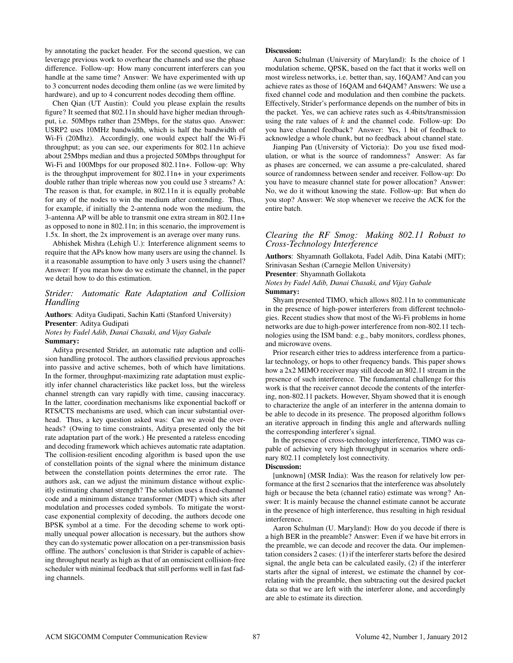by annotating the packet header. For the second question, we can leverage previous work to overhear the channels and use the phase difference. Follow-up: How many concurrent interferers can you handle at the same time? Answer: We have experimented with up to 3 concurrent nodes decoding them online (as we were limited by hardware), and up to 4 concurrent nodes decoding them offline.

Chen Qian (UT Austin): Could you please explain the results figure? It seemed that 802.11n should have higher median throughput, i.e. 50Mbps rather than 25Mbps, for the status quo. Answer: USRP2 uses 10MHz bandwidth, which is half the bandwidth of Wi-Fi (20Mhz). Accordingly, one would expect half the Wi-Fi throughput; as you can see, our experiments for 802.11n achieve about 25Mbps median and thus a projected 50Mbps throughput for Wi-Fi and 100Mbps for our proposed 802.11n+. Follow-up: Why is the throughput improvement for 802.11n+ in your experiments double rather than triple whereas now you could use 3 streams? A: The reason is that, for example, in 802.11n it is equally probable for any of the nodes to win the medium after contending. Thus, for example, if initially the 2-antenna node won the medium, the 3-antenna AP will be able to transmit one extra stream in 802.11n+ as opposed to none in 802.11n; in this scenario, the improvement is 1.5x. In short, the 2x improvement is an average over many runs.

Abhishek Mishra (Lehigh U.): Interference alignment seems to require that the APs know how many users are using the channel. Is it a reasonable assumption to have only 3 users using the channel? Answer: If you mean how do we estimate the channel, in the paper we detail how to do this estimation.

### *Strider: Automatic Rate Adaptation and Collision Handling*

Authors: Aditya Gudipati, Sachin Katti (Stanford University) Presenter: Aditya Gudipati

*Notes by Fadel Adib, Danai Chasaki, and Vijay Gabale* Summary:

Aditya presented Strider, an automatic rate adaption and collision handling protocol. The authors classified previous approaches into passive and active schemes, both of which have limitations. In the former, throughput-maximizing rate adaptation must explicitly infer channel characteristics like packet loss, but the wireless channel strength can vary rapidly with time, causing inaccuracy. In the latter, coordination mechanisms like exponential backoff or RTS/CTS mechanisms are used, which can incur substantial overhead. Thus, a key question asked was: Can we avoid the overheads? (Owing to time constraints, Aditya presented only the bit rate adaptation part of the work.) He presented a rateless encoding and decoding framework which achieves automatic rate adaptation. The collision-resilient encoding algorithm is based upon the use of constellation points of the signal where the minimum distance between the constellation points determines the error rate. The authors ask, can we adjust the minimum distance without explicitly estimating channel strength? The solution uses a fixed-channel code and a minimum distance transformer (MDT) which sits after modulation and processes coded symbols. To mitigate the worstcase exponential complexity of decoding, the authors decode one BPSK symbol at a time. For the decoding scheme to work optimally unequal power allocation is necessary, but the authors show they can do systematic power allocation on a per-transmission basis offline. The authors' conclusion is that Strider is capable of achieving throughput nearly as high as that of an omniscient collision-free scheduler with minimal feedback that still performs well in fast fading channels.

#### Discussion:

Aaron Schulman (University of Maryland): Is the choice of 1 modulation scheme, QPSK, based on the fact that it works well on most wireless networks, i.e. better than, say, 16QAM? And can you achieve rates as those of 16QAM and 64QAM? Answers: We use a fixed channel code and modulation and then combine the packets. Effectively, Strider's performance depends on the number of bits in the packet. Yes, we can achieve rates such as 4.4bits/transmission using the rate values of  $k$  and the channel code. Follow-up: Do you have channel feedback? Answer: Yes, 1 bit of feedback to acknowledge a whole chunk, but no feedback about channel state.

Jianping Pan (University of Victoria): Do you use fixed modulation, or what is the source of randomness? Answer: As far as phases are concerned, we can assume a pre-calculated, shared source of randomness between sender and receiver. Follow-up: Do you have to measure channel state for power allocation? Answer: No, we do it without knowing the state. Follow-up: But when do you stop? Answer: We stop whenever we receive the ACK for the entire batch.

### *Clearing the RF Smog: Making 802.11 Robust to Cross-Technology Interference*

Authors: Shyamnath Gollakota, Fadel Adib, Dina Katabi (MIT); Srinivasan Seshan (Carnegie Mellon University)

Presenter: Shyamnath Gollakota

*Notes by Fadel Adib, Danai Chasaki, and Vijay Gabale* Summary:

Shyam presented TIMO, which allows 802.11n to communicate in the presence of high-power interferers from different technologies. Recent studies show that most of the Wi-Fi problems in home networks are due to high-power interference from non-802.11 technologies using the ISM band: e.g., baby monitors, cordless phones, and microwave ovens.

Prior research either tries to address interference from a particular technology, or hops to other frequency bands. This paper shows how a 2x2 MIMO receiver may still decode an 802.11 stream in the presence of such interference. The fundamental challenge for this work is that the receiver cannot decode the contents of the interfering, non-802.11 packets. However, Shyam showed that it is enough to characterize the angle of an interferer in the antenna domain to be able to decode in its presence. The proposed algorithm follows an iterative approach in finding this angle and afterwards nulling the corresponding interferer's signal.

In the presence of cross-technology interference, TIMO was capable of achieving very high throughput in scenarios where ordinary 802.11 completely lost connectivity.

#### Discussion:

[unknown] (MSR India): Was the reason for relatively low performance at the first 2 scenarios that the interference was absolutely high or because the beta (channel ratio) estimate was wrong? Answer: It is mainly because the channel estimate cannot be accurate in the presence of high interference, thus resulting in high residual interference.

Aaron Schulman (U. Maryland): How do you decode if there is a high BER in the preamble? Answer: Even if we have bit errors in the preamble, we can decode and recover the data. Our implementation considers 2 cases: (1) if the interferer starts before the desired signal, the angle beta can be calculated easily, (2) if the interferer starts after the signal of interest, we estimate the channel by correlating with the preamble, then subtracting out the desired packet data so that we are left with the interferer alone, and accordingly are able to estimate its direction.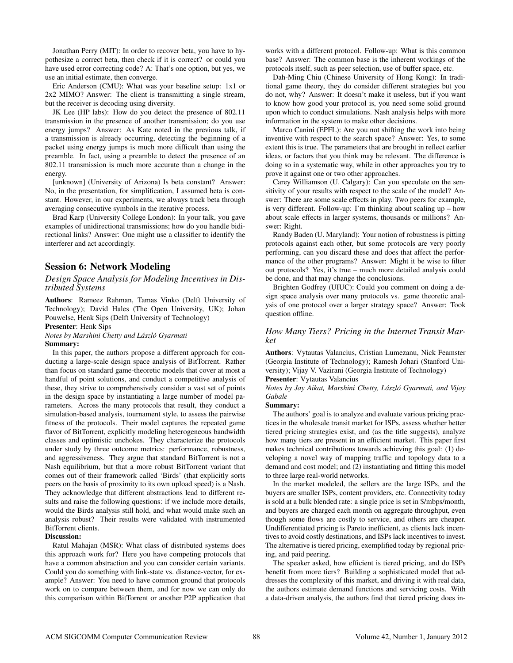Jonathan Perry (MIT): In order to recover beta, you have to hypothesize a correct beta, then check if it is correct? or could you have used error correcting code? A: That's one option, but yes, we use an initial estimate, then converge.

Eric Anderson (CMU): What was your baseline setup: 1x1 or 2x2 MIMO? Answer: The client is transmitting a single stream, but the receiver is decoding using diversity.

JK Lee (HP labs): How do you detect the presence of 802.11 transmission in the presence of another transmission; do you use energy jumps? Answer: As Kate noted in the previous talk, if a transmission is already occurring, detecting the beginning of a packet using energy jumps is much more difficult than using the preamble. In fact, using a preamble to detect the presence of an 802.11 transmission is much more accurate than a change in the energy.

[unknown] (University of Arizona) Is beta constant? Answer: No, in the presentation, for simplification, I assumed beta is constant. However, in our experiments, we always track beta through averaging consecutive symbols in the iterative process.

Brad Karp (University College London): In your talk, you gave examples of unidirectional transmissions; how do you handle bidirectional links? Answer: One might use a classifier to identify the interferer and act accordingly.

### Session 6: Network Modeling

### *Design Space Analysis for Modeling Incentives in Distributed Systems*

Authors: Rameez Rahman, Tamas Vinko (Delft University of Technology); David Hales (The Open University, UK); Johan Pouwelse, Henk Sips (Delft University of Technology)

### Presenter: Henk Sips

*Notes by Marshini Chetty and Laszl ´ o Gyarmati ´* Summary:

In this paper, the authors propose a different approach for conducting a large-scale design space analysis of BitTorrent. Rather than focus on standard game-theoretic models that cover at most a handful of point solutions, and conduct a competitive analysis of these, they strive to comprehensively consider a vast set of points in the design space by instantiating a large number of model parameters. Across the many protocols that result, they conduct a simulation-based analysis, tournament style, to assess the pairwise fitness of the protocols. Their model captures the repeated game flavor of BitTorrent, explicitly modeling heterogeneous bandwidth classes and optimistic unchokes. They characterize the protocols under study by three outcome metrics: performance, robustness, and aggressiveness. They argue that standard BitTorrent is not a Nash equilibrium, but that a more robust BitTorrent variant that comes out of their framework called 'Birds' (that explicitly sorts peers on the basis of proximity to its own upload speed) is a Nash. They acknowledge that different abstractions lead to different results and raise the following questions: if we include more details, would the Birds analysis still hold, and what would make such an analysis robust? Their results were validated with instrumented BitTorrent clients.

### Discussion:

Ratul Mahajan (MSR): What class of distributed systems does this approach work for? Here you have competing protocols that have a common abstraction and you can consider certain variants. Could you do something with link-state vs. distance-vector, for example? Answer: You need to have common ground that protocols work on to compare between them, and for now we can only do this comparison within BitTorrent or another P2P application that works with a different protocol. Follow-up: What is this common base? Answer: The common base is the inherent workings of the protocols itself, such as peer selection, use of buffer space, etc.

Dah-Ming Chiu (Chinese University of Hong Kong): In traditional game theory, they do consider different strategies but you do not, why? Answer: It doesn't make it useless, but if you want to know how good your protocol is, you need some solid ground upon which to conduct simulations. Nash analysis helps with more information in the system to make other decisions.

Marco Canini (EPFL): Are you not shifting the work into being inventive with respect to the search space? Answer: Yes, to some extent this is true. The parameters that are brought in reflect earlier ideas, or factors that you think may be relevant. The difference is doing so in a systematic way, while in other approaches you try to prove it against one or two other approaches.

Carey Williamson (U. Calgary): Can you speculate on the sensitivity of your results with respect to the scale of the model? Answer: There are some scale effects in play. Two peers for example, is very different. Follow-up: I'm thinking about scaling up – how about scale effects in larger systems, thousands or millions? Answer: Right.

Randy Baden (U. Maryland): Your notion of robustness is pitting protocols against each other, but some protocols are very poorly performing, can you discard these and does that affect the performance of the other programs? Answer: Might it be wise to filter out protocols? Yes, it's true – much more detailed analysis could be done, and that may change the conclusions.

Brighten Godfrey (UIUC): Could you comment on doing a design space analysis over many protocols vs. game theoretic analysis of one protocol over a larger strategy space? Answer: Took question offline.

### *How Many Tiers? Pricing in the Internet Transit Market*

Authors: Vytautas Valancius, Cristian Lumezanu, Nick Feamster (Georgia Institute of Technology); Ramesh Johari (Stanford University); Vijay V. Vazirani (Georgia Institute of Technology)

### Presenter: Vytautas Valancius

*Notes by Jay Aikat, Marshini Chetty, László Gyarmati, and Vijay Gabale*

#### Summary:

The authors' goal is to analyze and evaluate various pricing practices in the wholesale transit market for ISPs, assess whether better tiered pricing strategies exist, and (as the title suggests), analyze how many tiers are present in an efficient market. This paper first makes technical contributions towards achieving this goal: (1) developing a novel way of mapping traffic and topology data to a demand and cost model; and (2) instantiating and fitting this model to three large real-world networks.

In the market modeled, the sellers are the large ISPs, and the buyers are smaller ISPs, content providers, etc. Connectivity today is sold at a bulk blended rate: a single price is set in \$/mbps/month, and buyers are charged each month on aggregate throughput, even though some flows are costly to service, and others are cheaper. Undifferentiated pricing is Pareto inefficient, as clients lack incentives to avoid costly destinations, and ISPs lack incentives to invest. The alternative is tiered pricing, exemplified today by regional pricing, and paid peering.

The speaker asked, how efficient is tiered pricing, and do ISPs benefit from more tiers? Building a sophisticated model that addresses the complexity of this market, and driving it with real data, the authors estimate demand functions and servicing costs. With a data-driven analysis, the authors find that tiered pricing does in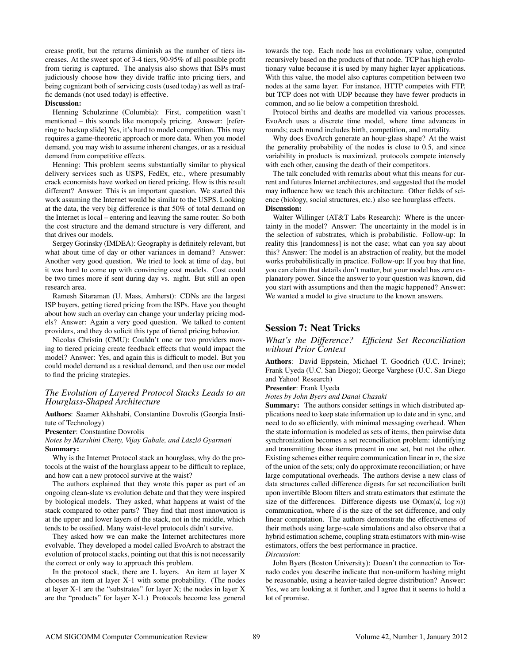crease profit, but the returns diminish as the number of tiers increases. At the sweet spot of 3-4 tiers, 90-95% of all possible profit from tiering is captured. The analysis also shows that ISPs must judiciously choose how they divide traffic into pricing tiers, and being cognizant both of servicing costs (used today) as well as traffic demands (not used today) is effective.

#### Discussion:

Henning Schulzrinne (Columbia): First, competition wasn't mentioned – this sounds like monopoly pricing. Answer: [referring to backup slide] Yes, it's hard to model competition. This may requires a game-theoretic approach or more data. When you model demand, you may wish to assume inherent changes, or as a residual demand from competitive effects.

Henning: This problem seems substantially similar to physical delivery services such as USPS, FedEx, etc., where presumably crack economists have worked on tiered pricing. How is this result different? Answer: This is an important question. We started this work assuming the Internet would be similar to the USPS. Looking at the data, the very big difference is that 50% of total demand on the Internet is local – entering and leaving the same router. So both the cost structure and the demand structure is very different, and that drives our models.

Sergey Gorinsky (IMDEA): Geography is definitely relevant, but what about time of day or other variances in demand? Answer: Another very good question. We tried to look at time of day, but it was hard to come up with convincing cost models. Cost could be two times more if sent during day vs. night. But still an open research area.

Ramesh Sitaraman (U. Mass, Amherst): CDNs are the largest ISP buyers, getting tiered pricing from the ISPs. Have you thought about how such an overlay can change your underlay pricing models? Answer: Again a very good question. We talked to content providers, and they do solicit this type of tiered pricing behavior.

Nicolas Christin (CMU): Couldn't one or two providers moving to tiered pricing create feedback effects that would impact the model? Answer: Yes, and again this is difficult to model. But you could model demand as a residual demand, and then use our model to find the pricing strategies.

### *The Evolution of Layered Protocol Stacks Leads to an Hourglass-Shaped Architecture*

Authors: Saamer Akhshabi, Constantine Dovrolis (Georgia Institute of Technology)

Presenter: Constantine Dovrolis

#### *Notes by Marshini Chetty, Vijay Gabale, and László Gyarmati* Summary:

Why is the Internet Protocol stack an hourglass, why do the protocols at the waist of the hourglass appear to be difficult to replace, and how can a new protocol survive at the waist?

The authors explained that they wrote this paper as part of an ongoing clean-slate vs evolution debate and that they were inspired by biological models. They asked, what happens at waist of the stack compared to other parts? They find that most innovation is at the upper and lower layers of the stack, not in the middle, which tends to be ossified. Many waist-level protocols didn't survive.

They asked how we can make the Internet architectures more evolvable. They developed a model called EvoArch to abstract the evolution of protocol stacks, pointing out that this is not necessarily the correct or only way to approach this problem.

In the protocol stack, there are L layers. An item at layer X chooses an item at layer X-1 with some probability. (The nodes at layer X-1 are the "substrates" for layer X; the nodes in layer X are the "products" for layer X-1.) Protocols become less general towards the top. Each node has an evolutionary value, computed recursively based on the products of that node. TCP has high evolutionary value because it is used by many higher layer applications. With this value, the model also captures competition between two nodes at the same layer. For instance, HTTP competes with FTP, but TCP does not with UDP because they have fewer products in common, and so lie below a competition threshold.

Protocol births and deaths are modelled via various processes. EvoArch uses a discrete time model, where time advances in rounds; each round includes birth, competition, and mortality.

Why does EvoArch generate an hour-glass shape? At the waist the generality probability of the nodes is close to 0.5, and since variability in products is maximized, protocols compete intensely with each other, causing the death of their competitors.

The talk concluded with remarks about what this means for current and futures Internet architectures, and suggested that the model may influence how we teach this architecture. Other fields of science (biology, social structures, etc.) also see hourglass effects. Discussion:

Walter Willinger (AT&T Labs Research): Where is the uncertainty in the model? Answer: The uncertainty in the model is in the selection of substrates, which is probabilistic. Follow-up: In reality this [randomness] is not the case; what can you say about this? Answer: The model is an abstraction of reality, but the model works probabilistically in practice. Follow-up: If you buy that line, you can claim that details don't matter, but your model has zero explanatory power. Since the answer to your question was known, did you start with assumptions and then the magic happened? Answer: We wanted a model to give structure to the known answers.

# Session 7: Neat Tricks

### *What's the Difference? Efficient Set Reconciliation without Prior Context*

Authors: David Eppstein, Michael T. Goodrich (U.C. Irvine); Frank Uyeda (U.C. San Diego); George Varghese (U.C. San Diego and Yahoo! Research)

#### Presenter: Frank Uyeda

*Notes by John Byers and Danai Chasaki*

Summary: The authors consider settings in which distributed applications need to keep state information up to date and in sync, and need to do so efficiently, with minimal messaging overhead. When the state information is modeled as sets of items, then pairwise data synchronization becomes a set reconciliation problem: identifying and transmitting those items present in one set, but not the other. Existing schemes either require communication linear in  $n$ , the size of the union of the sets; only do approximate reconciliation; or have large computational overheads. The authors devise a new class of data structures called difference digests for set reconciliation built upon invertible Bloom filters and strata estimators that estimate the size of the differences. Difference digests use  $O(max(d, \log n))$ communication, where  $d$  is the size of the set difference, and only linear computation. The authors demonstrate the effectiveness of their methods using large-scale simulations and also observe that a hybrid estimation scheme, coupling strata estimators with min-wise estimators, offers the best performance in practice. *Discussion:*

John Byers (Boston University): Doesn't the connection to Tornado codes you describe indicate that non-uniform hashing might be reasonable, using a heavier-tailed degree distribution? Answer: Yes, we are looking at it further, and I agree that it seems to hold a lot of promise.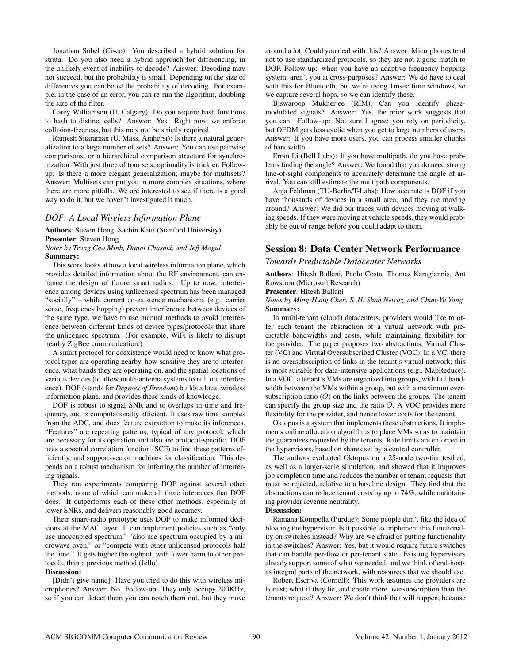Jonathan Sobel (Cisco): You described a hybrid solution for strata. Do you also need a hybrid approach for differencing, in the unlikely event of inability to decode? Answer: Decoding may not succeed, but the probability is small. Depending on the size of differences you can boost the probability of decoding. For example, in the case of an error, you can re-run the algorithm, doubling the size of the filter.

Carey Williamson (U. Calgary): Do you require hash functions to hash to distinct cells? Answer: Yes. Right now, we enforce collision-freeness, but this may not be strictly required.

Ramesh Sitaraman (U. Mass, Amherst): Is there a natural generalization to a large number of sets? Answer: You can use pairwise comparisons, or a hierarchical comparison structure for synchronization. With just three of four sets, optimality is trickier. Followup: Is there a more elegant generalization; maybe for multisets? Answer: Multisets can put you in more complex situations, where there are more pitfalls. We are interested to see if there is a good way to do it, but we haven't investigated it much.

### *DOF: A Local Wireless Information Plane*

Authors: Steven Hong, Sachin Katti (Stanford University) Presenter: Steven Hong

#### *Notes by Trang Cao Minh, Danai Chasaki, and Jeff Mogul* Summary:

This work looks at how a local wireless information plane, which provides detailed information about the RF environment, can enhance the design of future smart radios. Up to now, interference among devices using unlicensed spectrum has been managed "socially" – while current co-existence mechanisms (e.g., carrier sense, frequency hopping) prevent interference between devices of the same type, we have to use manual methods to avoid interference between different kinds of device types/protocols that share the unlicensed spectrum. (For example, WiFi is likely to disrupt nearby ZigBee communication.)

A smart protocol for coexistence would need to know what protocol types are operating nearby, how sensitive they are to interference, what bands they are operating on, and the spatial locations of various devices (to allow multi-antenna systems to null out interference). DOF (stands for *Degrees of Freedom*) builds a local wireless information plane, and provides these kinds of knowledge.

DOF is robust to signal SNR and to overlaps in time and frequency, and is computationally efficient. It uses raw time samples from the ADC, and does feature extraction to make its inferences. "Features" are repeating patterns, typical of any protocol, which are necessary for its operation and also are protocol-specific. DOF uses a spectral correlation function (SCF) to find these patterns efficiently, and support-vector machines for classification. This depends on a robust mechanism for inferring the number of interfering signals.

They ran experiments comparing DOF against several other methods, none of which can make all three inferences that DOF does. It outperforms each of these other methods, especially at lower SNRs, and delivers reasonably good accuracy.

Their smart-radio prototype uses DOF to make informed decisions at the MAC layer. It can implement policies such as "only use unoccupied spectrum," "also use spectrum occupied by a microwave oven," or "compete with other unlicensed protocols half the time." It gets higher throughput, with lower harm to other protocols, than a previous method (Jello).

#### Discussion:

[Didn't give name]: Have you tried to do this with wireless microphones? Answer: No. Follow-up: They only occupy 200KHz, so if you can detect them you can notch them out, but they move around a lot. Could you deal with this? Answer: Microphones tend not to use standardized protocols, so they are not a good match to DOF. Follow-up: when you have an adaptive frequency-hopping system, aren't you at cross-purposes? Answer: We do have to deal with this for Bluetooth, but we're using 1msec time windows, so we capture several hops, so we can identify these.

Biswaroop Mukherjee (RIM): Can you identify phasemodulated signals? Answer: Yes, the prior work suggests that you can. Follow-up: Not sure I agree; you rely on periodicity, but OFDM gets less cyclic when you get to large numbers of users. Answer: If you have more users, you can process smaller chunks of bandwidth.

Erran Li (Bell Labs): If you have multipath, do you have problems finding the angle? Answer: We found that you do need strong line-of-sight components to accurately determine the angle of arrival. You can still estimate the multipath components.

Anja Feldman (TU-Berlin/T-Labs): How accurate is DOF if you have thousands of devices in a small area, and they are moving around? Answer: We did our traces with devices moving at walking speeds. If they were moving at vehicle speeds, they would probably be out of range before you could adapt to them.

### Session 8: Data Center Network Performance

*Towards Predictable Datacenter Networks*

Authors: Hitesh Ballani, Paolo Costa, Thomas Karagiannis, Ant Rowstron (Microsoft Research)

#### Presenter: Hitesh Ballani

*Notes by Ming-Hung Chen, S. H. Shah Newaz, and Chun-Yu Yang* Summary:

In multi-tenant (cloud) datacenters, providers would like to offer each tenant the abstraction of a virtual network with predictable bandwidths and costs, while maintaining flexibility for the provider. The paper proposes two abstractions, Virtual Cluster (VC) and Virtual Oversubscribed Cluster (VOC). In a VC, there is no oversubscription of links in the tenant's virtual network; this is most suitable for data-intensive applications (e.g., MapReduce). In a VOC, a tenant's VMs are organized into groups, with full bandwidth between the VMs within a group, but with a maximum oversubscription ratio  $(O)$  on the links between the groups. The tenant can specify the group size and the ratio O. A VOC provides more flexibility for the provider, and hence lower costs for the tenant.

Oktopus is a system that implements these abstractions. It implements online allocation algorithms to place VMs so as to maintain the guarantees requested by the tenants. Rate limits are enforced in the hypervisors, based on shares set by a central controller.

The authors evaluated Oktopus on a 25-node two-tier testbed, as well as a larger-scale simulation, and showed that it improves job completion time and reduces the number of tenant requests that must be rejected, relative to a baseline design. They find that the abstractions can reduce tenant costs by up to 74%, while maintaining provider revenue neutrality.

### Discussion:

Ramana Kompella (Purdue): Some people don't like the idea of bloating the hypervisor. Is it possible to implement this functionality on switches instead? Why are we afraid of putting functionality in the switches? Answer: Yes, but it would require future switches that can handle per-flow or per-tenant state. Existing hypervisors already support some of what we needed, and we think of end-hosts as integral parts of the network, with resources that we should use.

Robert Escriva (Cornell): This work assumes the providers are honest; what if they lie, and create more oversubscription than the tenants request? Answer: We don't think that will happen, because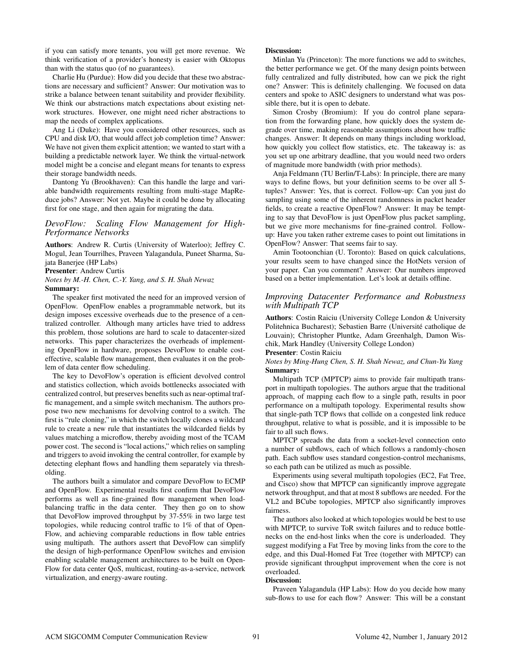if you can satisfy more tenants, you will get more revenue. We think verification of a provider's honesty is easier with Oktopus than with the status quo (of no guarantees).

Charlie Hu (Purdue): How did you decide that these two abstractions are necessary and sufficient? Answer: Our motivation was to strike a balance between tenant suitability and provider flexibility. We think our abstractions match expectations about existing network structures. However, one might need richer abstractions to map the needs of complex applications.

Ang Li (Duke): Have you considered other resources, such as CPU and disk I/O, that would affect job completion time? Answer: We have not given them explicit attention; we wanted to start with a building a predictable network layer. We think the virtual-network model might be a concise and elegant means for tenants to express their storage bandwidth needs.

Dantong Yu (Brookhaven): Can this handle the large and variable bandwidth requirements resulting from multi-stage MapReduce jobs? Answer: Not yet. Maybe it could be done by allocating first for one stage, and then again for migrating the data.

### *DevoFlow: Scaling Flow Management for High-Performance Networks*

Authors: Andrew R. Curtis (University of Waterloo); Jeffrey C. Mogul, Jean Tourrilhes, Praveen Yalagandula, Puneet Sharma, Sujata Banerjee (HP Labs)

Presenter: Andrew Curtis

*Notes by M.-H. Chen, C.-Y. Yang, and S. H. Shah Newaz* Summary:

The speaker first motivated the need for an improved version of OpenFlow. OpenFlow enables a programmable network, but its design imposes excessive overheads due to the presence of a centralized controller. Although many articles have tried to address this problem, those solutions are hard to scale to datacenter-sized networks. This paper characterizes the overheads of implementing OpenFlow in hardware, proposes DevoFlow to enable costeffective, scalable flow management, then evaluates it on the problem of data center flow scheduling.

The key to DevoFlow's operation is efficient devolved control and statistics collection, which avoids bottlenecks associated with centralized control, but preserves benefits such as near-optimal traffic management, and a simple switch mechanism. The authors propose two new mechanisms for devolving control to a switch. The first is "rule cloning," in which the switch locally clones a wildcard rule to create a new rule that instantiates the wildcarded fields by values matching a microflow, thereby avoiding most of the TCAM power cost. The second is "local actions," which relies on sampling and triggers to avoid invoking the central controller, for example by detecting elephant flows and handling them separately via thresholding.

The authors built a simulator and compare DevoFlow to ECMP and OpenFlow. Experimental results first confirm that DevoFlow performs as well as fine-grained flow management when loadbalancing traffic in the data center. They then go on to show that DevoFlow improved throughput by 37-55% in two large test topologies, while reducing control traffic to 1% of that of Open-Flow, and achieving comparable reductions in flow table entries using multipath. The authors assert that DevoFlow can simplify the design of high-performance OpenFlow switches and envision enabling scalable management architectures to be built on Open-Flow for data center QoS, multicast, routing-as-a-service, network virtualization, and energy-aware routing.

### Discussion:

Minlan Yu (Princeton): The more functions we add to switches, the better performance we get. Of the many design points between fully centralized and fully distributed, how can we pick the right one? Answer: This is definitely challenging. We focused on data centers and spoke to ASIC designers to understand what was possible there, but it is open to debate.

Simon Crosby (Bromium): If you do control plane separation from the forwarding plane, how quickly does the system degrade over time, making reasonable assumptions about how traffic changes. Answer: It depends on many things including workload, how quickly you collect flow statistics, etc. The takeaway is: as you set up one arbitrary deadline, that you would need two orders of magnitude more bandwidth (with prior methods).

Anja Feldmann (TU Berlin/T-Labs): In principle, there are many ways to define flows, but your definition seems to be over all 5 tuples? Answer: Yes, that is correct. Follow-up: Can you just do sampling using some of the inherent randomness in packet header fields, to create a reactive OpenFlow? Answer: It may be tempting to say that DevoFlow is just OpenFlow plus packet sampling, but we give more mechanisms for fine-grained control. Followup: Have you taken rather extreme cases to point out limitations in OpenFlow? Answer: That seems fair to say.

Amin Tootoonchian (U. Toronto): Based on quick calculations, your results seem to have changed since the HotNets version of your paper. Can you comment? Answer: Our numbers improved based on a better implementation. Let's look at details offline.

#### *Improving Datacenter Performance and Robustness with Multipath TCP*

Authors: Costin Raiciu (University College London & University Politehnica Bucharest); Sebastien Barre (Université catholique de Louvain); Christopher Pluntke, Adam Greenhalgh, Damon Wischik, Mark Handley (University College London)

### Presenter: Costin Raiciu

*Notes by Ming-Hung Chen, S. H. Shah Newaz, and Chun-Yu Yang* Summary:

Multipath TCP (MPTCP) aims to provide fair multipath transport in multipath topologies. The authors argue that the traditional approach, of mapping each flow to a single path, results in poor performance on a multipath topology. Experimental results show that single-path TCP flows that collide on a congested link reduce throughput, relative to what is possible, and it is impossible to be fair to all such flows.

MPTCP spreads the data from a socket-level connection onto a number of subflows, each of which follows a randomly-chosen path. Each subflow uses standard congestion-control mechanisms, so each path can be utilized as much as possible.

Experiments using several multipath topologies (EC2, Fat Tree, and Cisco) show that MPTCP can significantly improve aggregate network throughput, and that at most 8 subflows are needed. For the VL2 and BCube topologies, MPTCP also significantly improves fairness.

The authors also looked at which topologies would be best to use with MPTCP, to survive ToR switch failures and to reduce bottlenecks on the end-host links when the core is underloaded. They suggest modifying a Fat Tree by moving links from the core to the edge, and this Dual-Homed Fat Tree (together with MPTCP) can provide significant throughput improvement when the core is not overloaded.

#### Discussion:

Praveen Yalagandula (HP Labs): How do you decide how many sub-flows to use for each flow? Answer: This will be a constant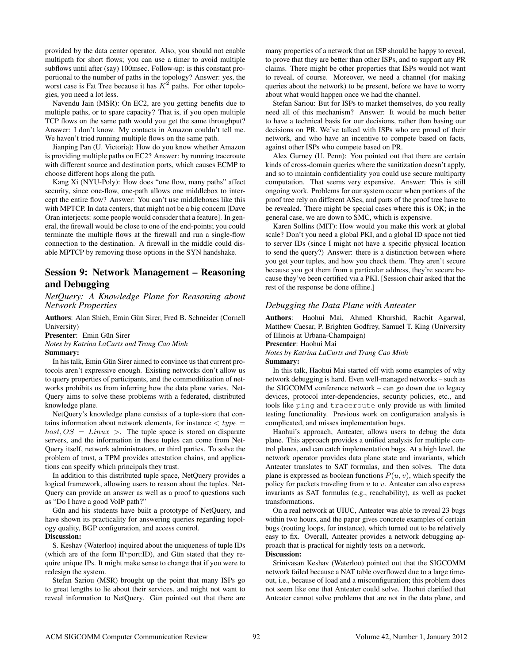provided by the data center operator. Also, you should not enable multipath for short flows; you can use a timer to avoid multiple subflows until after (say) 100msec. Follow-up: is this constant proportional to the number of paths in the topology? Answer: yes, the worst case is Fat Tree because it has  $K^2$  paths. For other topologies, you need a lot less.

Navendu Jain (MSR): On EC2, are you getting benefits due to multiple paths, or to spare capacity? That is, if you open multiple TCP flows on the same path would you get the same throughput? Answer: I don't know. My contacts in Amazon couldn't tell me. We haven't tried running multiple flows on the same path.

Jianping Pan (U. Victoria): How do you know whether Amazon is providing multiple paths on EC2? Answer: by running traceroute with different source and destination ports, which causes ECMP to choose different hops along the path.

Kang Xi (NYU-Poly): How does "one flow, many paths" affect security, since one-flow, one-path allows one middlebox to intercept the entire flow? Answer: You can't use middleboxes like this with MPTCP. In data centers, that might not be a big concern [Dave Oran interjects: some people would consider that a feature]. In general, the firewall would be close to one of the end-points; you could terminate the multiple flows at the firewall and run a single-flow connection to the destination. A firewall in the middle could disable MPTCP by removing those options in the SYN handshake.

# Session 9: Network Management – Reasoning and Debugging

*NetQuery: A Knowledge Plane for Reasoning about Network Properties*

Authors: Alan Shieh, Emin Gün Sirer, Fred B. Schneider (Cornell University)

Presenter: Emin Gün Sirer

*Notes by Katrina LaCurts and Trang Cao Minh*

### Summary:

In his talk, Emin Gün Sirer aimed to convince us that current protocols aren't expressive enough. Existing networks don't allow us to query properties of participants, and the commoditization of networks prohibits us from inferring how the data plane varies. Net-Query aims to solve these problems with a federated, distributed knowledge plane.

NetQuery's knowledge plane consists of a tuple-store that contains information about network elements, for instance  $\langle type =$  $host, OS = Linux >$ . The tuple space is stored on disparate servers, and the information in these tuples can come from Net-Query itself, network administrators, or third parties. To solve the problem of trust, a TPM provides attestation chains, and applications can specify which principals they trust.

In addition to this distributed tuple space, NetQuery provides a logical framework, allowing users to reason about the tuples. Net-Query can provide an answer as well as a proof to questions such as "Do I have a good VoIP path?"

Gün and his students have built a prototype of NetQuery, and have shown its practicality for answering queries regarding topology quality, BGP configuration, and access control.

### Discussion:

S. Keshav (Waterloo) inquired about the uniqueness of tuple IDs (which are of the form IP:port:ID), and Gün stated that they require unique IPs. It might make sense to change that if you were to redesign the system.

Stefan Sariou (MSR) brought up the point that many ISPs go to great lengths to lie about their services, and might not want to reveal information to NetQuery. Gün pointed out that there are many properties of a network that an ISP should be happy to reveal, to prove that they are better than other ISPs, and to support any PR claims. There might be other properties that ISPs would not want to reveal, of course. Moreover, we need a channel (for making queries about the network) to be present, before we have to worry about what would happen once we had the channel.

Stefan Sariou: But for ISPs to market themselves, do you really need all of this mechanism? Answer: It would be much better to have a technical basis for our decisions, rather than basing our decisions on PR. We've talked with ISPs who are proud of their network, and who have an incentive to compete based on facts, against other ISPs who compete based on PR.

Alex Gurney (U. Penn): You pointed out that there are certain kinds of cross-domain queries where the sanitization doesn't apply, and so to maintain confidentiality you could use secure multiparty computation. That seems very expensive. Answer: This is still ongoing work. Problems for our system occur when portions of the proof tree rely on different ASes, and parts of the proof tree have to be revealed. There might be special cases where this is OK; in the general case, we are down to SMC, which is expensive.

Karen Sollins (MIT): How would you make this work at global scale? Don't you need a global PKI, and a global ID space not tied to server IDs (since I might not have a specific physical location to send the query?) Answer: there is a distinction between where you get your tuples, and how you check them. They aren't secure because you got them from a particular address, they're secure because they've been certified via a PKI. [Session chair asked that the rest of the response be done offline.]

#### *Debugging the Data Plane with Anteater*

Authors: Haohui Mai, Ahmed Khurshid, Rachit Agarwal, Matthew Caesar, P. Brighten Godfrey, Samuel T. King (University of Illinois at Urbana-Champaign)

#### Presenter: Haohui Mai

*Notes by Katrina LaCurts and Trang Cao Minh* Summary:

In this talk, Haohui Mai started off with some examples of why network debugging is hard. Even well-managed networks – such as the SIGCOMM conference network – can go down due to legacy devices, protocol inter-dependencies, security policies, etc., and tools like ping and traceroute only provide us with limited testing functionality. Previous work on configuration analysis is complicated, and misses implementation bugs.

Haohui's approach, Anteater, allows users to debug the data plane. This approach provides a unified analysis for multiple control planes, and can catch implementation bugs. At a high level, the network operator provides data plane state and invariants, which Anteater translates to SAT formulas, and then solves. The data plane is expressed as boolean functions  $P(u, v)$ , which specify the policy for packets traveling from  $u$  to  $v$ . Anteater can also express invariants as SAT formulas (e.g., reachability), as well as packet transformations.

On a real network at UIUC, Anteater was able to reveal 23 bugs within two hours, and the paper gives concrete examples of certain bugs (routing loops, for instance), which turned out to be relatively easy to fix. Overall, Anteater provides a network debugging approach that is practical for nightly tests on a network.

#### Discussion:

Srinivasan Keshav (Waterloo) pointed out that the SIGCOMM network failed because a NAT table overflowed due to a large timeout, i.e., because of load and a misconfiguration; this problem does not seem like one that Anteater could solve. Haohui clarified that Anteater cannot solve problems that are not in the data plane, and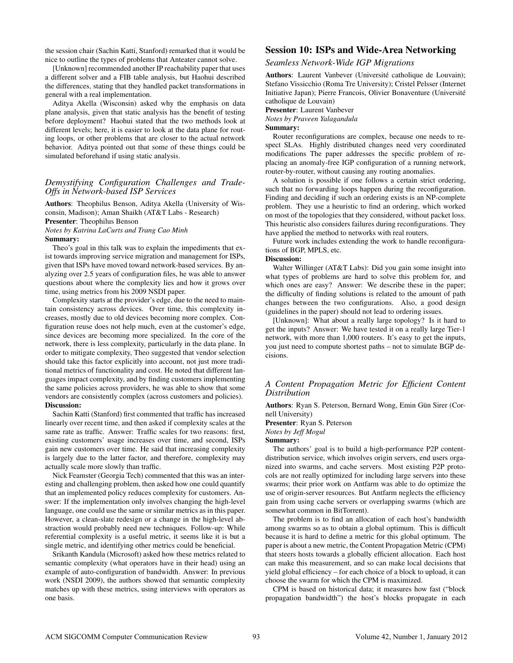the session chair (Sachin Katti, Stanford) remarked that it would be nice to outline the types of problems that Anteater cannot solve.

[Unknown] recommended another IP reachability paper that uses a different solver and a FIB table analysis, but Haohui described the differences, stating that they handled packet transformations in general with a real implementation.

Aditya Akella (Wisconsin) asked why the emphasis on data plane analysis, given that static analysis has the benefit of testing before deployment? Haohui stated that the two methods look at different levels; here, it is easier to look at the data plane for routing loops, or other problems that are closer to the actual network behavior. Aditya pointed out that some of these things could be simulated beforehand if using static analysis.

#### *Demystifying Configuration Challenges and Trade-Offs in Network-based ISP Services*

Authors: Theophilus Benson, Aditya Akella (University of Wisconsin, Madison); Aman Shaikh (AT&T Labs - Research) Presenter: Theophilus Benson

*Notes by Katrina LaCurts and Trang Cao Minh* Summary:

Theo's goal in this talk was to explain the impediments that exist towards improving service migration and management for ISPs, given that ISPs have moved toward network-based services. By analyzing over 2.5 years of configuration files, he was able to answer questions about where the complexity lies and how it grows over time, using metrics from his 2009 NSDI paper.

Complexity starts at the provider's edge, due to the need to maintain consistency across devices. Over time, this complexity increases, mostly due to old devices becoming more complex. Configuration reuse does not help much, even at the customer's edge, since devices are becoming more specialized. In the core of the network, there is less complexity, particularly in the data plane. In order to mitigate complexity, Theo suggested that vendor selection should take this factor explicitly into account, not just more traditional metrics of functionality and cost. He noted that different languages impact complexity, and by finding customers implementing the same policies across providers, he was able to show that some vendors are consistently complex (across customers and policies). Discussion:

Sachin Katti (Stanford) first commented that traffic has increased linearly over recent time, and then asked if complexity scales at the same rate as traffic. Answer: Traffic scales for two reasons: first, existing customers' usage increases over time, and second, ISPs gain new customers over time. He said that increasing complexity is largely due to the latter factor, and therefore, complexity may actually scale more slowly than traffic.

Nick Feamster (Georgia Tech) commented that this was an interesting and challenging problem, then asked how one could quantify that an implemented policy reduces complexity for customers. Answer: If the implementation only involves changing the high-level language, one could use the same or similar metrics as in this paper. However, a clean-slate redesign or a change in the high-level abstraction would probably need new techniques. Follow-up: While referential complexity is a useful metric, it seems like it is but a single metric, and identifying other metrics could be beneficial.

Srikanth Kandula (Microsoft) asked how these metrics related to semantic complexity (what operators have in their head) using an example of auto-configuration of bandwidth. Answer: In previous work (NSDI 2009), the authors showed that semantic complexity matches up with these metrics, using interviews with operators as one basis.

# Session 10: ISPs and Wide-Area Networking

*Seamless Network-Wide IGP Migrations*

Authors: Laurent Vanbever (Université catholique de Louvain); Stefano Vissicchio (Roma Tre University); Cristel Pelsser (Internet Initiative Japan); Pierre Francois, Olivier Bonaventure (Universite´ catholique de Louvain)

Presenter: Laurent Vanbever

*Notes by Praveen Yalagandula*

Summary:

Router reconfigurations are complex, because one needs to respect SLAs. Highly distributed changes need very coordinated modifications The paper addresses the specific problem of replacing an anomaly-free IGP configuration of a running network, router-by-router, without causing any routing anomalies.

A solution is possible if one follows a certain strict ordering, such that no forwarding loops happen during the reconfiguration. Finding and deciding if such an ordering exists is an NP-complete problem. They use a heuristic to find an ordering, which worked on most of the topologies that they considered, without packet loss. This heuristic also considers failures during reconfigurations. They have applied the method to networks with real routers.

Future work includes extending the work to handle reconfigurations of BGP, MPLS, etc.

### Discussion:

Walter Willinger (AT&T Labs): Did you gain some insight into what types of problems are hard to solve this problem for, and which ones are easy? Answer: We describe these in the paper; the difficulty of finding solutions is related to the amount of path changes between the two configurations. Also, a good design (guidelines in the paper) should not lead to ordering issues.

[Unknown]: What about a really large topology? Is it hard to get the inputs? Answer: We have tested it on a really large Tier-1 network, with more than 1,000 routers. It's easy to get the inputs, you just need to compute shortest paths – not to simulate BGP decisions.

### *A Content Propagation Metric for Efficient Content Distribution*

Authors: Ryan S. Peterson, Bernard Wong, Emin Gün Sirer (Cornell University)

Presenter: Ryan S. Peterson *Notes by Jeff Mogul*

Summary:

The authors' goal is to build a high-performance P2P contentdistribution service, which involves origin servers, end users organized into swarms, and cache servers. Most existing P2P protocols are not really optimized for including large servers into these swarms; their prior work on Antfarm was able to do optimize the use of origin-server resources. But Antfarm neglects the efficiency gain from using cache servers or overlapping swarms (which are somewhat common in BitTorrent).

The problem is to find an allocation of each host's bandwidth among swarms so as to obtain a global optimum. This is difficult because it is hard to define a metric for this global optimum. The paper is about a new metric, the Content Propagation Metric (CPM) that steers hosts towards a globally efficient allocation. Each host can make this measurement, and so can make local decisions that yield global efficiency – for each choice of a block to upload, it can choose the swarm for which the CPM is maximized.

CPM is based on historical data; it measures how fast ("block propagation bandwidth") the host's blocks propagate in each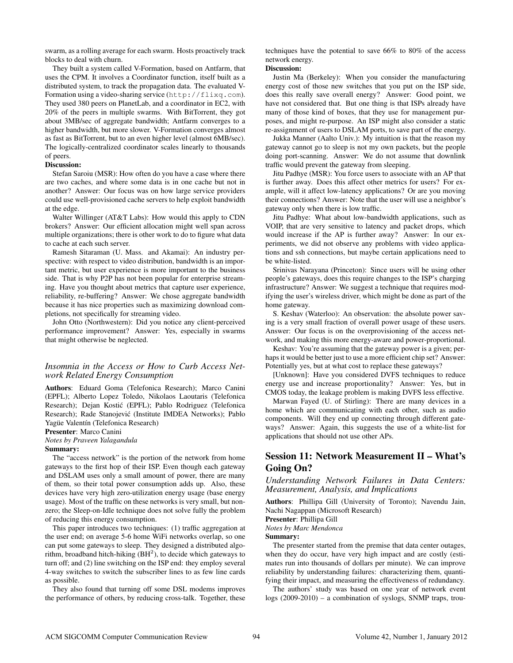swarm, as a rolling average for each swarm. Hosts proactively track blocks to deal with churn.

They built a system called V-Formation, based on Antfarm, that uses the CPM. It involves a Coordinator function, itself built as a distributed system, to track the propagation data. The evaluated V-Formation using a video-sharing service (http://flixq.com). They used 380 peers on PlanetLab, and a coordinator in EC2, with 20% of the peers in multiple swarms. With BitTorrent, they got about 3MB/sec of aggregate bandwidth; Antfarm converges to a higher bandwidth, but more slower. V-Formation converges almost as fast as BitTorrent, but to an even higher level (almost 6MB/sec). The logically-centralized coordinator scales linearly to thousands of peers.

#### Discussion:

Stefan Saroiu (MSR): How often do you have a case where there are two caches, and where some data is in one cache but not in another? Answer: Our focus was on how large service providers could use well-provisioned cache servers to help exploit bandwidth at the edge.

Walter Willinger (AT&T Labs): How would this apply to CDN brokers? Answer: Our efficient allocation might well span across multiple organizations; there is other work to do to figure what data to cache at each such server.

Ramesh Sitaraman (U. Mass. and Akamai): An industry perspective: with respect to video distribution, bandwidth is an important metric, but user experience is more important to the business side. That is why P2P has not been popular for enterprise streaming. Have you thought about metrics that capture user experience, reliability, re-buffering? Answer: We chose aggregate bandwidth because it has nice properties such as maximizing download completions, not specifically for streaming video.

John Otto (Northwestern): Did you notice any client-perceived performance improvement? Answer: Yes, especially in swarms that might otherwise be neglected.

#### *Insomnia in the Access or How to Curb Access Network Related Energy Consumption*

Authors: Eduard Goma (Telefonica Research); Marco Canini (EPFL); Alberto Lopez Toledo, Nikolaos Laoutaris (Telefonica Research); Dejan Kostic (EPFL); Pablo Rodriguez (Telefonica ´ Research); Rade Stanojević (Institute IMDEA Networks); Pablo Yagüe Valentín (Telefonica Research)

#### Presenter: Marco Canini

*Notes by Praveen Yalagandula*

#### Summary:

The "access network" is the portion of the network from home gateways to the first hop of their ISP. Even though each gateway and DSLAM uses only a small amount of power, there are many of them, so their total power consumption adds up. Also, these devices have very high zero-utilization energy usage (base energy usage). Most of the traffic on these networks is very small, but nonzero; the Sleep-on-Idle technique does not solve fully the problem of reducing this energy consumption.

This paper introduces two techniques: (1) traffic aggregation at the user end; on average 5-6 home WiFi networks overlap, so one can put some gateways to sleep. They designed a distributed algorithm, broadband hitch-hiking  $(BH^2)$ , to decide which gateways to turn off; and (2) line switching on the ISP end: they employ several 4-way switches to switch the subscriber lines to as few line cards as possible.

They also found that turning off some DSL modems improves the performance of others, by reducing cross-talk. Together, these techniques have the potential to save 66% to 80% of the access network energy.

### Discussion:

Justin Ma (Berkeley): When you consider the manufacturing energy cost of those new switches that you put on the ISP side, does this really save overall energy? Answer: Good point, we have not considered that. But one thing is that ISPs already have many of those kind of boxes, that they use for management purposes, and might re-purpose. An ISP might also consider a static re-assignment of users to DSLAM ports, to save part of the energy.

Jukka Manner (Aalto Univ.): My intuition is that the reason my gateway cannot go to sleep is not my own packets, but the people doing port-scanning. Answer: We do not assume that downlink traffic would prevent the gateway from sleeping.

Jitu Padhye (MSR): You force users to associate with an AP that is further away. Does this affect other metrics for users? For example, will it affect low-latency applications? Or are you moving their connections? Answer: Note that the user will use a neighbor's gateway only when there is low traffic.

Jitu Padhye: What about low-bandwidth applications, such as VOIP, that are very sensitive to latency and packet drops, which would increase if the AP is further away? Answer: In our experiments, we did not observe any problems with video applications and ssh connections, but maybe certain applications need to be white-listed.

Srinivas Narayana (Princeton): Since users will be using other people's gateways, does this require changes to the ISP's charging infrastructure? Answer: We suggest a technique that requires modifying the user's wireless driver, which might be done as part of the home gateway.

S. Keshav (Waterloo): An observation: the absolute power saving is a very small fraction of overall power usage of these users. Answer: Our focus is on the overprovisioning of the access network, and making this more energy-aware and power-proportional.

Keshav: You're assuming that the gateway power is a given; perhaps it would be better just to use a more efficient chip set? Answer: Potentially yes, but at what cost to replace these gateways?

[Unknown]: Have you considered DVFS techniques to reduce energy use and increase proportionality? Answer: Yes, but in CMOS today, the leakage problem is making DVFS less effective.

Marwan Fayed (U. of Stirling): There are many devices in a home which are communicating with each other, such as audio components. Will they end up connecting through different gateways? Answer: Again, this suggests the use of a white-list for applications that should not use other APs.

# Session 11: Network Measurement II – What's Going On?

### *Understanding Network Failures in Data Centers: Measurement, Analysis, and Implications*

Authors: Phillipa Gill (University of Toronto); Navendu Jain, Nachi Nagappan (Microsoft Research)

Presenter: Phillipa Gill

*Notes by Marc Mendonca*

Summary:

The presenter started from the premise that data center outages, when they do occur, have very high impact and are costly (estimates run into thousands of dollars per minute). We can improve reliability by understanding failures: characterizing them, quantifying their impact, and measuring the effectiveness of redundancy.

The authors' study was based on one year of network event logs (2009-2010) – a combination of syslogs, SNMP traps, trou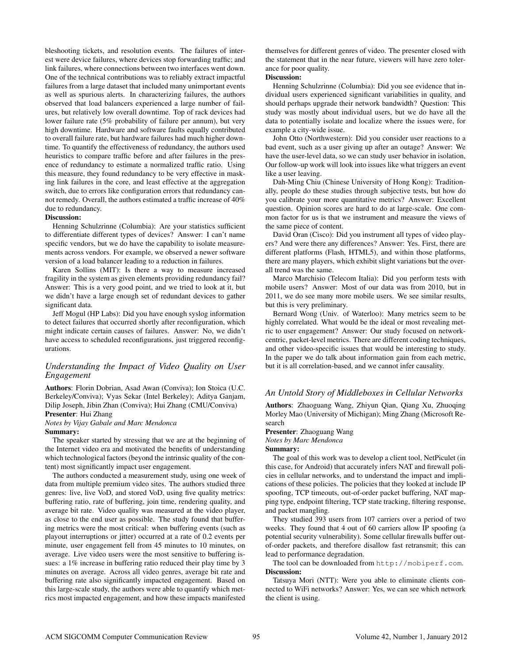bleshooting tickets, and resolution events. The failures of interest were device failures, where devices stop forwarding traffic; and link failures, where connections between two interfaces went down. One of the technical contributions was to reliably extract impactful failures from a large dataset that included many unimportant events as well as spurious alerts. In characterizing failures, the authors observed that load balancers experienced a large number of failures, but relatively low overall downtime. Top of rack devices had lower failure rate (5% probability of failure per annum), but very high downtime. Hardware and software faults equally contributed to overall failure rate, but hardware failures had much higher downtime. To quantify the effectiveness of redundancy, the authors used heuristics to compare traffic before and after failures in the presence of redundancy to estimate a normalized traffic ratio. Using this measure, they found redundancy to be very effective in masking link failures in the core, and least effective at the aggregation switch, due to errors like configuration errors that redundancy cannot remedy. Overall, the authors estimated a traffic increase of 40% due to redundancy.

#### Discussion:

Henning Schulzrinne (Columbia): Are your statistics sufficient to differentiate different types of devices? Answer: I can't name specific vendors, but we do have the capability to isolate measurements across vendors. For example, we observed a newer software version of a load balancer leading to a reduction in failures.

Karen Sollins (MIT): Is there a way to measure increased fragility in the system as given elements providing redundancy fail? Answer: This is a very good point, and we tried to look at it, but we didn't have a large enough set of redundant devices to gather significant data.

Jeff Mogul (HP Labs): Did you have enough syslog information to detect failures that occurred shortly after reconfiguration, which might indicate certain causes of failures. Answer: No, we didn't have access to scheduled reconfigurations, just triggered reconfigurations.

### *Understanding the Impact of Video Quality on User Engagement*

Authors: Florin Dobrian, Asad Awan (Conviva); Ion Stoica (U.C. Berkeley/Conviva); Vyas Sekar (Intel Berkeley); Aditya Ganjam, Dilip Joseph, Jibin Zhan (Conviva); Hui Zhang (CMU/Conviva) Presenter: Hui Zhang

*Notes by Vijay Gabale and Marc Mendonca*

Summary:

The speaker started by stressing that we are at the beginning of the Internet video era and motivated the benefits of understanding which technological factors (beyond the intrinsic quality of the content) most significantly impact user engagement.

The authors conducted a measurement study, using one week of data from multiple premium video sites. The authors studied three genres: live, live VoD, and stored VoD, using five quality metrics: buffering ratio, rate of buffering, join time, rendering quality, and average bit rate. Video quality was measured at the video player, as close to the end user as possible. The study found that buffering metrics were the most critical: when buffering events (such as playout interruptions or jitter) occurred at a rate of 0.2 events per minute, user engagement fell from 45 minutes to 10 minutes, on average. Live video users were the most sensitive to buffering issues: a 1% increase in buffering ratio reduced their play time by 3 minutes on average. Across all video genres, average bit rate and buffering rate also significantly impacted engagement. Based on this large-scale study, the authors were able to quantify which metrics most impacted engagement, and how these impacts manifested themselves for different genres of video. The presenter closed with the statement that in the near future, viewers will have zero tolerance for poor quality.

### Discussion:

Henning Schulzrinne (Columbia): Did you see evidence that individual users experienced significant variabilities in quality, and should perhaps upgrade their network bandwidth? Question: This study was mostly about individual users, but we do have all the data to potentially isolate and localize where the issues were, for example a city-wide issue.

John Otto (Northwestern): Did you consider user reactions to a bad event, such as a user giving up after an outage? Answer: We have the user-level data, so we can study user behavior in isolation, Our follow-up work will look into issues like what triggers an event like a user leaving.

Dah-Ming Chiu (Chinese University of Hong Kong): Traditionally, people do these studies through subjective tests, but how do you calibrate your more quantitative metrics? Answer: Excellent question. Opinion scores are hard to do at large-scale. One common factor for us is that we instrument and measure the views of the same piece of content.

David Oran (Cisco): Did you instrument all types of video players? And were there any differences? Answer: Yes. First, there are different platforms (Flash, HTML5), and within those platforms, there are many players, which exhibit slight variations but the overall trend was the same.

Marco Marchisio (Telecom Italia): Did you perform tests with mobile users? Answer: Most of our data was from 2010, but in 2011, we do see many more mobile users. We see similar results, but this is very preliminary.

Bernard Wong (Univ. of Waterloo): Many metrics seem to be highly correlated. What would be the ideal or most revealing metric to user engagement? Answer: Our study focused on networkcentric, packet-level metrics. There are different coding techniques, and other video-specific issues that would be interesting to study. In the paper we do talk about information gain from each metric, but it is all correlation-based, and we cannot infer causality.

### *An Untold Story of Middleboxes in Cellular Networks*

Authors: Zhaoguang Wang, Zhiyun Qian, Qiang Xu, Zhuoqing Morley Mao (University of Michigan); Ming Zhang (Microsoft Research

Presenter: Zhaoguang Wang *Notes by Marc Mendonca*

# Summary:

The goal of this work was to develop a client tool, NetPiculet (in this case, for Android) that accurately infers NAT and firewall policies in cellular networks, and to understand the impact and implications of these policies. The policies that they looked at include IP spoofing, TCP timeouts, out-of-order packet buffering, NAT mapping type, endpoint filtering, TCP state tracking, filtering response, and packet mangling.

They studied 393 users from 107 carriers over a period of two weeks. They found that 4 out of 60 carriers allow IP spoofing (a potential security vulnerability). Some cellular firewalls buffer outof-order packets, and therefore disallow fast retransmit; this can lead to performance degradation.

The tool can be downloaded from http://mobiperf.com. Discussion:

Tatsuya Mori (NTT): Were you able to eliminate clients connected to WiFi networks? Answer: Yes, we can see which network the client is using.